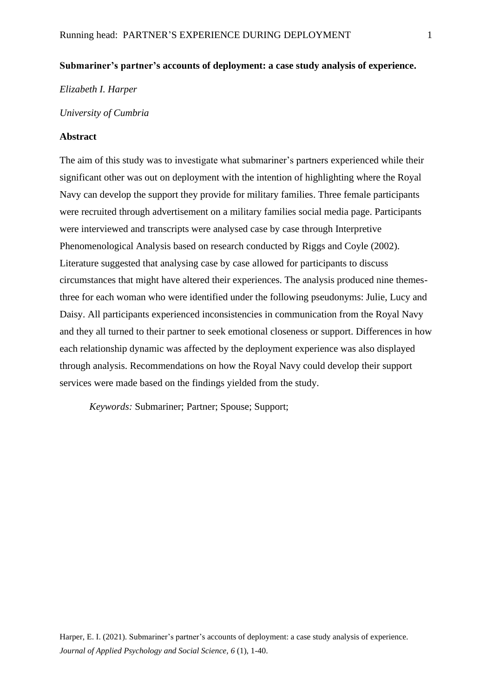#### **Submariner's partner's accounts of deployment: a case study analysis of experience.**

*Elizabeth I. Harper*

*University of Cumbria*

### **Abstract**

The aim of this study was to investigate what submariner's partners experienced while their significant other was out on deployment with the intention of highlighting where the Royal Navy can develop the support they provide for military families. Three female participants were recruited through advertisement on a military families social media page. Participants were interviewed and transcripts were analysed case by case through Interpretive Phenomenological Analysis based on research conducted by Riggs and Coyle (2002). Literature suggested that analysing case by case allowed for participants to discuss circumstances that might have altered their experiences. The analysis produced nine themesthree for each woman who were identified under the following pseudonyms: Julie, Lucy and Daisy. All participants experienced inconsistencies in communication from the Royal Navy and they all turned to their partner to seek emotional closeness or support. Differences in how each relationship dynamic was affected by the deployment experience was also displayed through analysis. Recommendations on how the Royal Navy could develop their support services were made based on the findings yielded from the study.

*Keywords:* Submariner; Partner; Spouse; Support;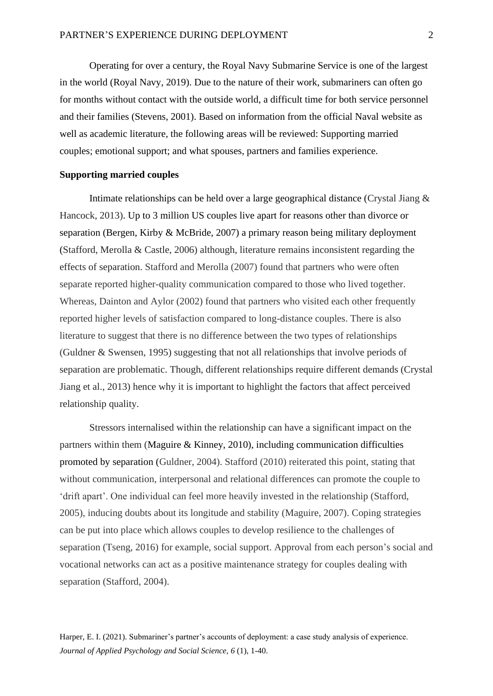Operating for over a century, the Royal Navy Submarine Service is one of the largest in the world (Royal Navy, 2019). Due to the nature of their work, submariners can often go for months without contact with the outside world, a difficult time for both service personnel and their families (Stevens, 2001). Based on information from the official Naval website as well as academic literature, the following areas will be reviewed: Supporting married couples; emotional support; and what spouses, partners and families experience.

### **Supporting married couples**

Intimate relationships can be held over a large geographical distance (Crystal Jiang & Hancock, 2013). Up to 3 million US couples live apart for reasons other than divorce or separation (Bergen, Kirby & McBride, 2007) a primary reason being military deployment (Stafford, Merolla & Castle, 2006) although, literature remains inconsistent regarding the effects of separation. Stafford and Merolla (2007) found that partners who were often separate reported higher-quality communication compared to those who lived together. Whereas, Dainton and Aylor (2002) found that partners who visited each other frequently reported higher levels of satisfaction compared to long-distance couples. There is also literature to suggest that there is no difference between the two types of relationships (Guldner & Swensen, 1995) suggesting that not all relationships that involve periods of separation are problematic. Though, different relationships require different demands (Crystal Jiang et al., 2013) hence why it is important to highlight the factors that affect perceived relationship quality.

Stressors internalised within the relationship can have a significant impact on the partners within them (Maguire  $\&$  Kinney, 2010), including communication difficulties promoted by separation (Guldner, 2004). Stafford (2010) reiterated this point, stating that without communication, interpersonal and relational differences can promote the couple to 'drift apart'. One individual can feel more heavily invested in the relationship (Stafford, 2005), inducing doubts about its longitude and stability (Maguire, 2007). Coping strategies can be put into place which allows couples to develop resilience to the challenges of separation (Tseng, 2016) for example, social support. Approval from each person's social and vocational networks can act as a positive maintenance strategy for couples dealing with separation (Stafford, 2004).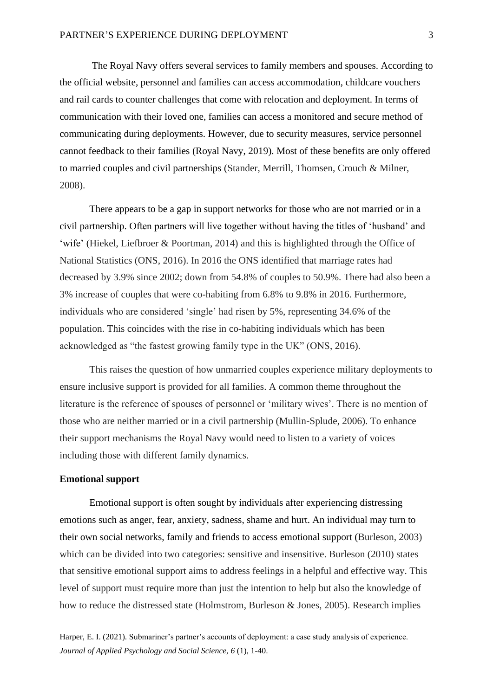The Royal Navy offers several services to family members and spouses. According to the official website, personnel and families can access accommodation, childcare vouchers and rail cards to counter challenges that come with relocation and deployment. In terms of communication with their loved one, families can access a monitored and secure method of communicating during deployments. However, due to security measures, service personnel cannot feedback to their families (Royal Navy, 2019). Most of these benefits are only offered to married couples and civil partnerships (Stander, Merrill, Thomsen, Crouch & Milner, 2008).

There appears to be a gap in support networks for those who are not married or in a civil partnership. Often partners will live together without having the titles of 'husband' and 'wife' (Hiekel, Liefbroer & Poortman, 2014) and this is highlighted through the Office of National Statistics (ONS, 2016). In 2016 the ONS identified that marriage rates had decreased by 3.9% since 2002; down from 54.8% of couples to 50.9%. There had also been a 3% increase of couples that were co-habiting from 6.8% to 9.8% in 2016. Furthermore, individuals who are considered 'single' had risen by 5%, representing 34.6% of the population. This coincides with the rise in co-habiting individuals which has been acknowledged as "the fastest growing family type in the UK" (ONS, 2016).

This raises the question of how unmarried couples experience military deployments to ensure inclusive support is provided for all families. A common theme throughout the literature is the reference of spouses of personnel or 'military wives'. There is no mention of those who are neither married or in a civil partnership (Mullin-Splude, 2006). To enhance their support mechanisms the Royal Navy would need to listen to a variety of voices including those with different family dynamics.

### **Emotional support**

Emotional support is often sought by individuals after experiencing distressing emotions such as anger, fear, anxiety, sadness, shame and hurt. An individual may turn to their own social networks, family and friends to access emotional support (Burleson, 2003) which can be divided into two categories: sensitive and insensitive. Burleson (2010) states that sensitive emotional support aims to address feelings in a helpful and effective way. This level of support must require more than just the intention to help but also the knowledge of how to reduce the distressed state (Holmstrom, Burleson & Jones, 2005). Research implies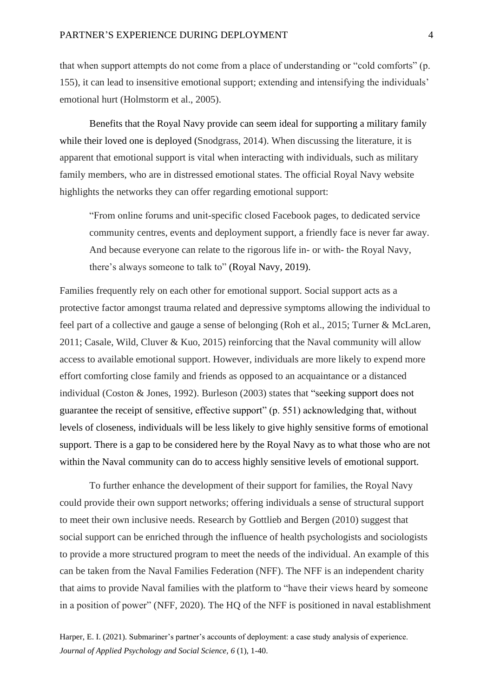that when support attempts do not come from a place of understanding or "cold comforts" (p. 155), it can lead to insensitive emotional support; extending and intensifying the individuals' emotional hurt (Holmstorm et al., 2005).

Benefits that the Royal Navy provide can seem ideal for supporting a military family while their loved one is deployed (Snodgrass, 2014). When discussing the literature, it is apparent that emotional support is vital when interacting with individuals, such as military family members, who are in distressed emotional states. The official Royal Navy website highlights the networks they can offer regarding emotional support:

"From online forums and unit-specific closed Facebook pages, to dedicated service community centres, events and deployment support, a friendly face is never far away. And because everyone can relate to the rigorous life in- or with- the Royal Navy, there's always someone to talk to" (Royal Navy, 2019).

Families frequently rely on each other for emotional support. Social support acts as a protective factor amongst trauma related and depressive symptoms allowing the individual to feel part of a collective and gauge a sense of belonging (Roh et al., 2015; Turner & McLaren, 2011; Casale, Wild, Cluver & Kuo, 2015) reinforcing that the Naval community will allow access to available emotional support. However, individuals are more likely to expend more effort comforting close family and friends as opposed to an acquaintance or a distanced individual (Coston & Jones, 1992). Burleson (2003) states that "seeking support does not guarantee the receipt of sensitive, effective support" (p. 551) acknowledging that, without levels of closeness, individuals will be less likely to give highly sensitive forms of emotional support. There is a gap to be considered here by the Royal Navy as to what those who are not within the Naval community can do to access highly sensitive levels of emotional support.

To further enhance the development of their support for families, the Royal Navy could provide their own support networks; offering individuals a sense of structural support to meet their own inclusive needs. Research by Gottlieb and Bergen (2010) suggest that social support can be enriched through the influence of health psychologists and sociologists to provide a more structured program to meet the needs of the individual. An example of this can be taken from the Naval Families Federation (NFF). The NFF is an independent charity that aims to provide Naval families with the platform to "have their views heard by someone in a position of power" (NFF, 2020)*.* The HQ of the NFF is positioned in naval establishment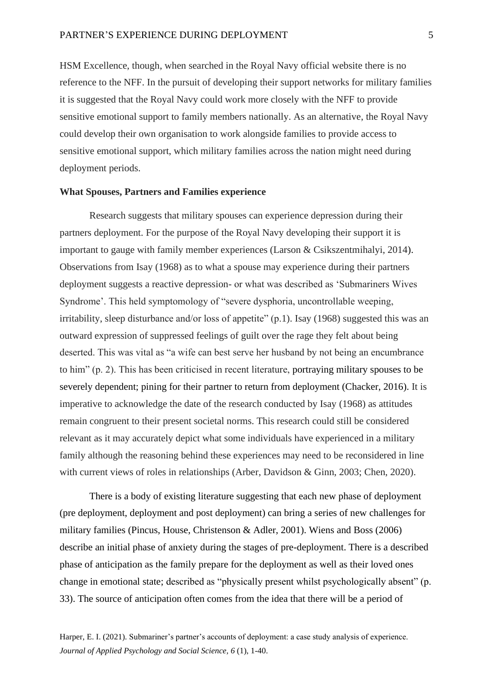HSM Excellence, though, when searched in the Royal Navy official website there is no reference to the NFF. In the pursuit of developing their support networks for military families it is suggested that the Royal Navy could work more closely with the NFF to provide sensitive emotional support to family members nationally. As an alternative, the Royal Navy could develop their own organisation to work alongside families to provide access to sensitive emotional support, which military families across the nation might need during deployment periods.

### **What Spouses, Partners and Families experience**

Research suggests that military spouses can experience depression during their partners deployment. For the purpose of the Royal Navy developing their support it is important to gauge with family member experiences (Larson & Csikszentmihalyi, 2014). Observations from Isay (1968) as to what a spouse may experience during their partners deployment suggests a reactive depression- or what was described as 'Submariners Wives Syndrome'. This held symptomology of "severe dysphoria, uncontrollable weeping, irritability, sleep disturbance and/or loss of appetite" (p.1). Isay (1968) suggested this was an outward expression of suppressed feelings of guilt over the rage they felt about being deserted. This was vital as "a wife can best serve her husband by not being an encumbrance to him" (p. 2). This has been criticised in recent literature, portraying military spouses to be severely dependent; pining for their partner to return from deployment (Chacker, 2016). It is imperative to acknowledge the date of the research conducted by Isay (1968) as attitudes remain congruent to their present societal norms. This research could still be considered relevant as it may accurately depict what some individuals have experienced in a military family although the reasoning behind these experiences may need to be reconsidered in line with current views of roles in relationships (Arber, Davidson & Ginn, 2003; Chen, 2020).

There is a body of existing literature suggesting that each new phase of deployment (pre deployment, deployment and post deployment) can bring a series of new challenges for military families (Pincus, House, Christenson & Adler, 2001). Wiens and Boss (2006) describe an initial phase of anxiety during the stages of pre-deployment. There is a described phase of anticipation as the family prepare for the deployment as well as their loved ones change in emotional state; described as "physically present whilst psychologically absent" (p. 33). The source of anticipation often comes from the idea that there will be a period of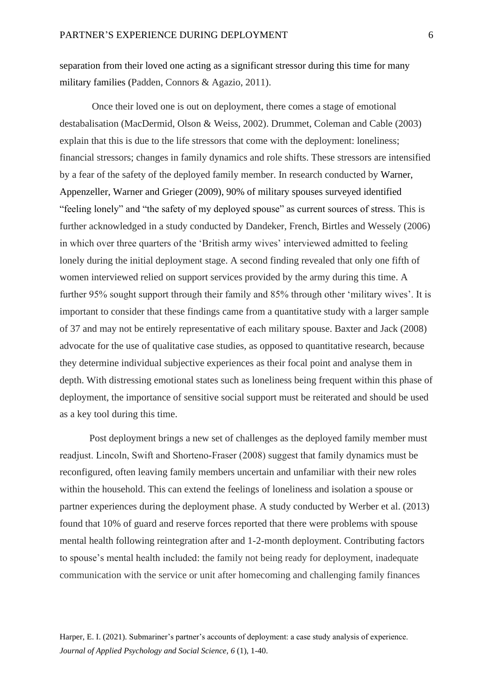separation from their loved one acting as a significant stressor during this time for many military families (Padden, Connors & Agazio, 2011).

Once their loved one is out on deployment, there comes a stage of emotional destabalisation (MacDermid, Olson & Weiss, 2002). Drummet, Coleman and Cable (2003) explain that this is due to the life stressors that come with the deployment: loneliness; financial stressors; changes in family dynamics and role shifts. These stressors are intensified by a fear of the safety of the deployed family member. In research conducted by Warner, Appenzeller, Warner and Grieger (2009), 90% of military spouses surveyed identified "feeling lonely" and "the safety of my deployed spouse" as current sources of stress. This is further acknowledged in a study conducted by Dandeker, French, Birtles and Wessely (2006) in which over three quarters of the 'British army wives' interviewed admitted to feeling lonely during the initial deployment stage. A second finding revealed that only one fifth of women interviewed relied on support services provided by the army during this time. A further 95% sought support through their family and 85% through other 'military wives'. It is important to consider that these findings came from a quantitative study with a larger sample of 37 and may not be entirely representative of each military spouse. Baxter and Jack (2008) advocate for the use of qualitative case studies, as opposed to quantitative research, because they determine individual subjective experiences as their focal point and analyse them in depth. With distressing emotional states such as loneliness being frequent within this phase of deployment, the importance of sensitive social support must be reiterated and should be used as a key tool during this time.

Post deployment brings a new set of challenges as the deployed family member must readjust. Lincoln, Swift and Shorteno‐Fraser (2008) suggest that family dynamics must be reconfigured, often leaving family members uncertain and unfamiliar with their new roles within the household. This can extend the feelings of loneliness and isolation a spouse or partner experiences during the deployment phase. A study conducted by Werber et al. (2013) found that 10% of guard and reserve forces reported that there were problems with spouse mental health following reintegration after and 1-2-month deployment. Contributing factors to spouse's mental health included: the family not being ready for deployment, inadequate communication with the service or unit after homecoming and challenging family finances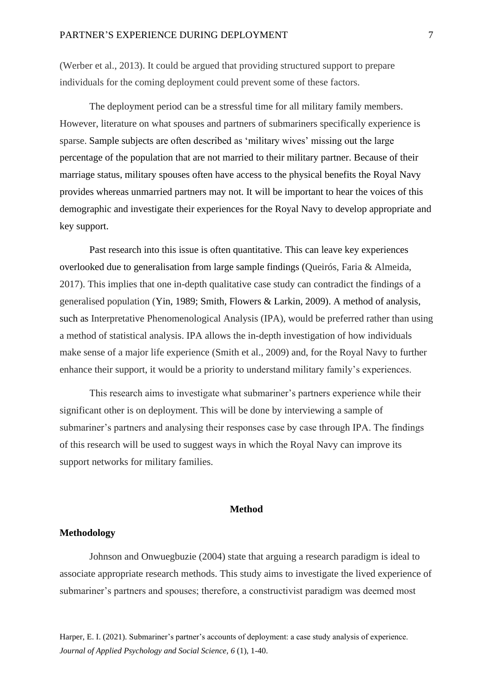(Werber et al., 2013). It could be argued that providing structured support to prepare individuals for the coming deployment could prevent some of these factors.

The deployment period can be a stressful time for all military family members. However, literature on what spouses and partners of submariners specifically experience is sparse. Sample subjects are often described as 'military wives' missing out the large percentage of the population that are not married to their military partner. Because of their marriage status, military spouses often have access to the physical benefits the Royal Navy provides whereas unmarried partners may not. It will be important to hear the voices of this demographic and investigate their experiences for the Royal Navy to develop appropriate and key support.

Past research into this issue is often quantitative. This can leave key experiences overlooked due to generalisation from large sample findings (Queirós, Faria & Almeida, 2017). This implies that one in-depth qualitative case study can contradict the findings of a generalised population (Yin, 1989; Smith, Flowers & Larkin, 2009). A method of analysis, such as Interpretative Phenomenological Analysis (IPA), would be preferred rather than using a method of statistical analysis. IPA allows the in-depth investigation of how individuals make sense of a major life experience (Smith et al., 2009) and, for the Royal Navy to further enhance their support, it would be a priority to understand military family's experiences.

This research aims to investigate what submariner's partners experience while their significant other is on deployment. This will be done by interviewing a sample of submariner's partners and analysing their responses case by case through IPA. The findings of this research will be used to suggest ways in which the Royal Navy can improve its support networks for military families.

### **Method**

## **Methodology**

Johnson and Onwuegbuzie (2004) state that arguing a research paradigm is ideal to associate appropriate research methods. This study aims to investigate the lived experience of submariner's partners and spouses; therefore, a constructivist paradigm was deemed most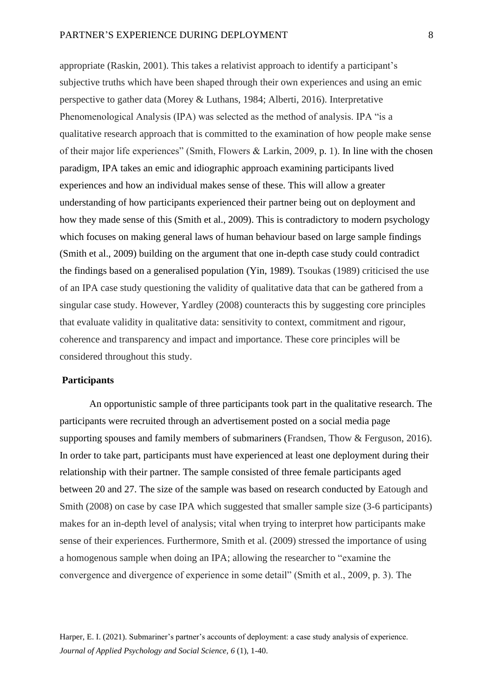appropriate (Raskin, 2001). This takes a relativist approach to identify a participant's subjective truths which have been shaped through their own experiences and using an emic perspective to gather data (Morey & Luthans, 1984; Alberti, 2016). Interpretative Phenomenological Analysis (IPA) was selected as the method of analysis. IPA "is a qualitative research approach that is committed to the examination of how people make sense of their major life experiences" (Smith, Flowers & Larkin, 2009, p. 1). In line with the chosen paradigm, IPA takes an emic and idiographic approach examining participants lived experiences and how an individual makes sense of these. This will allow a greater understanding of how participants experienced their partner being out on deployment and how they made sense of this (Smith et al., 2009). This is contradictory to modern psychology which focuses on making general laws of human behaviour based on large sample findings (Smith et al., 2009) building on the argument that one in-depth case study could contradict the findings based on a generalised population (Yin, 1989). Tsoukas (1989) criticised the use of an IPA case study questioning the validity of qualitative data that can be gathered from a singular case study. However, Yardley (2008) counteracts this by suggesting core principles that evaluate validity in qualitative data: sensitivity to context, commitment and rigour, coherence and transparency and impact and importance. These core principles will be considered throughout this study.

### **Participants**

An opportunistic sample of three participants took part in the qualitative research. The participants were recruited through an advertisement posted on a social media page supporting spouses and family members of submariners (Frandsen, Thow & Ferguson, 2016). In order to take part, participants must have experienced at least one deployment during their relationship with their partner. The sample consisted of three female participants aged between 20 and 27. The size of the sample was based on research conducted by Eatough and Smith (2008) on case by case IPA which suggested that smaller sample size (3-6 participants) makes for an in-depth level of analysis; vital when trying to interpret how participants make sense of their experiences. Furthermore, Smith et al. (2009) stressed the importance of using a homogenous sample when doing an IPA; allowing the researcher to "examine the convergence and divergence of experience in some detail" (Smith et al., 2009, p. 3). The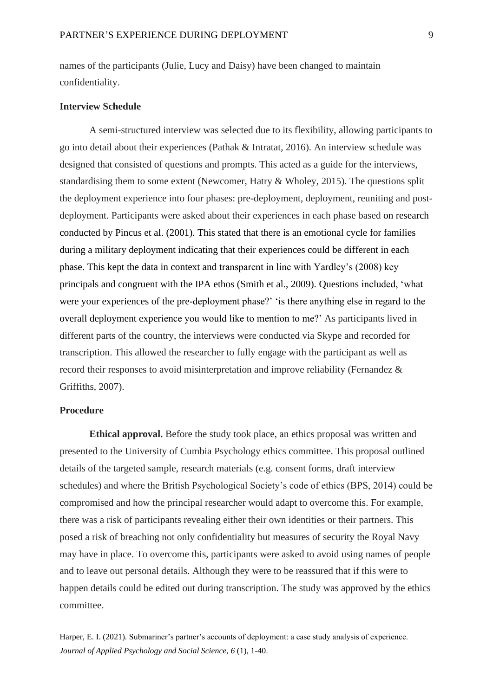names of the participants (Julie, Lucy and Daisy) have been changed to maintain confidentiality.

## **Interview Schedule**

A semi-structured interview was selected due to its flexibility, allowing participants to go into detail about their experiences (Pathak & Intratat, 2016). An interview schedule was designed that consisted of questions and prompts. This acted as a guide for the interviews, standardising them to some extent (Newcomer, Hatry & Wholey, 2015). The questions split the deployment experience into four phases: pre-deployment, deployment, reuniting and postdeployment. Participants were asked about their experiences in each phase based on research conducted by Pincus et al. (2001). This stated that there is an emotional cycle for families during a military deployment indicating that their experiences could be different in each phase. This kept the data in context and transparent in line with Yardley's (2008) key principals and congruent with the IPA ethos (Smith et al., 2009). Questions included, 'what were your experiences of the pre-deployment phase?' 'is there anything else in regard to the overall deployment experience you would like to mention to me?' As participants lived in different parts of the country, the interviews were conducted via Skype and recorded for transcription. This allowed the researcher to fully engage with the participant as well as record their responses to avoid misinterpretation and improve reliability (Fernandez & Griffiths, 2007).

### **Procedure**

**Ethical approval.** Before the study took place, an ethics proposal was written and presented to the University of Cumbia Psychology ethics committee. This proposal outlined details of the targeted sample, research materials (e.g. consent forms, draft interview schedules) and where the British Psychological Society's code of ethics (BPS, 2014) could be compromised and how the principal researcher would adapt to overcome this. For example, there was a risk of participants revealing either their own identities or their partners. This posed a risk of breaching not only confidentiality but measures of security the Royal Navy may have in place. To overcome this, participants were asked to avoid using names of people and to leave out personal details. Although they were to be reassured that if this were to happen details could be edited out during transcription. The study was approved by the ethics committee.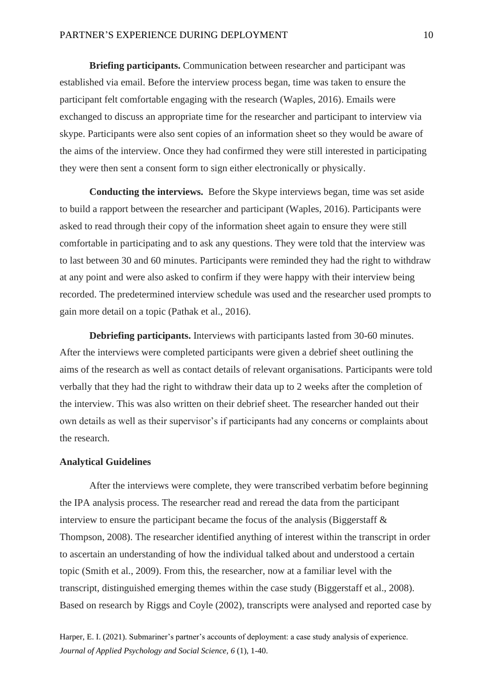**Briefing participants.** Communication between researcher and participant was established via email. Before the interview process began, time was taken to ensure the participant felt comfortable engaging with the research (Waples, 2016). Emails were exchanged to discuss an appropriate time for the researcher and participant to interview via skype. Participants were also sent copies of an information sheet so they would be aware of the aims of the interview. Once they had confirmed they were still interested in participating they were then sent a consent form to sign either electronically or physically.

**Conducting the interviews.** Before the Skype interviews began, time was set aside to build a rapport between the researcher and participant (Waples, 2016). Participants were asked to read through their copy of the information sheet again to ensure they were still comfortable in participating and to ask any questions. They were told that the interview was to last between 30 and 60 minutes. Participants were reminded they had the right to withdraw at any point and were also asked to confirm if they were happy with their interview being recorded. The predetermined interview schedule was used and the researcher used prompts to gain more detail on a topic (Pathak et al., 2016).

**Debriefing participants.** Interviews with participants lasted from 30-60 minutes. After the interviews were completed participants were given a debrief sheet outlining the aims of the research as well as contact details of relevant organisations. Participants were told verbally that they had the right to withdraw their data up to 2 weeks after the completion of the interview. This was also written on their debrief sheet. The researcher handed out their own details as well as their supervisor's if participants had any concerns or complaints about the research.

### **Analytical Guidelines**

After the interviews were complete, they were transcribed verbatim before beginning the IPA analysis process. The researcher read and reread the data from the participant interview to ensure the participant became the focus of the analysis (Biggerstaff & Thompson, 2008). The researcher identified anything of interest within the transcript in order to ascertain an understanding of how the individual talked about and understood a certain topic (Smith et al., 2009). From this, the researcher, now at a familiar level with the transcript, distinguished emerging themes within the case study (Biggerstaff et al., 2008). Based on research by Riggs and Coyle (2002), transcripts were analysed and reported case by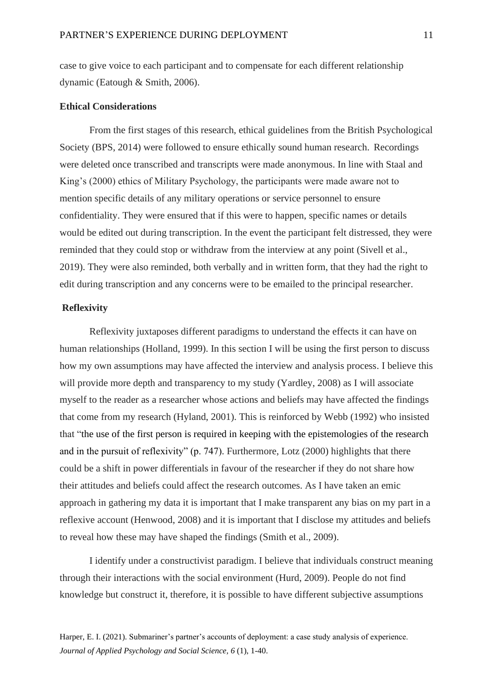case to give voice to each participant and to compensate for each different relationship dynamic (Eatough & Smith, 2006).

# **Ethical Considerations**

From the first stages of this research, ethical guidelines from the British Psychological Society (BPS, 2014) were followed to ensure ethically sound human research. Recordings were deleted once transcribed and transcripts were made anonymous. In line with Staal and King's (2000) ethics of Military Psychology, the participants were made aware not to mention specific details of any military operations or service personnel to ensure confidentiality. They were ensured that if this were to happen, specific names or details would be edited out during transcription. In the event the participant felt distressed, they were reminded that they could stop or withdraw from the interview at any point (Sivell et al., 2019). They were also reminded, both verbally and in written form, that they had the right to edit during transcription and any concerns were to be emailed to the principal researcher.

# **Reflexivity**

Reflexivity juxtaposes different paradigms to understand the effects it can have on human relationships (Holland, 1999). In this section I will be using the first person to discuss how my own assumptions may have affected the interview and analysis process. I believe this will provide more depth and transparency to my study (Yardley, 2008) as I will associate myself to the reader as a researcher whose actions and beliefs may have affected the findings that come from my research (Hyland, 2001). This is reinforced by Webb (1992) who insisted that "the use of the first person is required in keeping with the epistemologies of the research and in the pursuit of reflexivity" (p. 747). Furthermore, Lotz (2000) highlights that there could be a shift in power differentials in favour of the researcher if they do not share how their attitudes and beliefs could affect the research outcomes. As I have taken an emic approach in gathering my data it is important that I make transparent any bias on my part in a reflexive account (Henwood, 2008) and it is important that I disclose my attitudes and beliefs to reveal how these may have shaped the findings (Smith et al., 2009).

I identify under a constructivist paradigm. I believe that individuals construct meaning through their interactions with the social environment (Hurd, 2009). People do not find knowledge but construct it, therefore, it is possible to have different subjective assumptions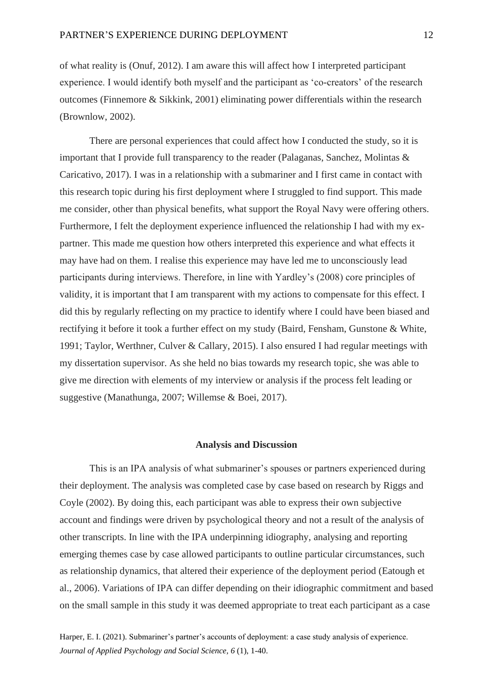of what reality is (Onuf, 2012). I am aware this will affect how I interpreted participant experience. I would identify both myself and the participant as 'co-creators' of the research outcomes (Finnemore & Sikkink, 2001) eliminating power differentials within the research (Brownlow, 2002).

There are personal experiences that could affect how I conducted the study, so it is important that I provide full transparency to the reader (Palaganas, Sanchez, Molintas & Caricativo, 2017). I was in a relationship with a submariner and I first came in contact with this research topic during his first deployment where I struggled to find support. This made me consider, other than physical benefits, what support the Royal Navy were offering others. Furthermore, I felt the deployment experience influenced the relationship I had with my expartner. This made me question how others interpreted this experience and what effects it may have had on them. I realise this experience may have led me to unconsciously lead participants during interviews. Therefore, in line with Yardley's (2008) core principles of validity, it is important that I am transparent with my actions to compensate for this effect. I did this by regularly reflecting on my practice to identify where I could have been biased and rectifying it before it took a further effect on my study (Baird, Fensham, Gunstone & White, 1991; Taylor, Werthner, Culver & Callary, 2015). I also ensured I had regular meetings with my dissertation supervisor. As she held no bias towards my research topic, she was able to give me direction with elements of my interview or analysis if the process felt leading or suggestive (Manathunga, 2007; Willemse & Boei, 2017).

### **Analysis and Discussion**

This is an IPA analysis of what submariner's spouses or partners experienced during their deployment. The analysis was completed case by case based on research by Riggs and Coyle (2002). By doing this, each participant was able to express their own subjective account and findings were driven by psychological theory and not a result of the analysis of other transcripts. In line with the IPA underpinning idiography, analysing and reporting emerging themes case by case allowed participants to outline particular circumstances, such as relationship dynamics, that altered their experience of the deployment period (Eatough et al., 2006). Variations of IPA can differ depending on their idiographic commitment and based on the small sample in this study it was deemed appropriate to treat each participant as a case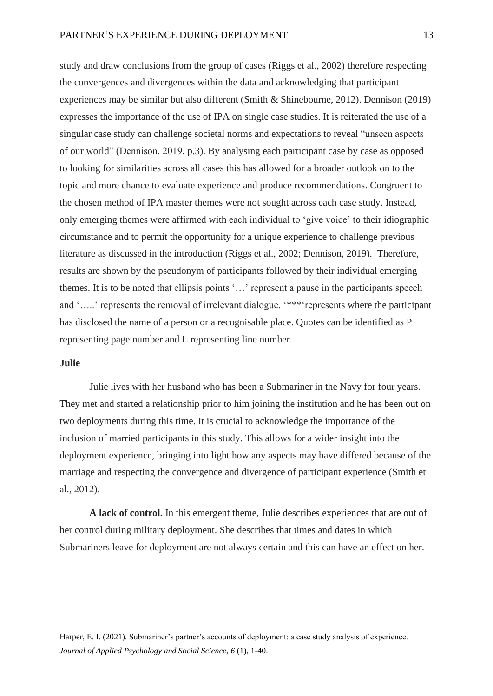study and draw conclusions from the group of cases (Riggs et al., 2002) therefore respecting the convergences and divergences within the data and acknowledging that participant experiences may be similar but also different (Smith & Shinebourne, 2012). Dennison (2019) expresses the importance of the use of IPA on single case studies. It is reiterated the use of a singular case study can challenge societal norms and expectations to reveal "unseen aspects of our world" (Dennison, 2019, p.3). By analysing each participant case by case as opposed to looking for similarities across all cases this has allowed for a broader outlook on to the topic and more chance to evaluate experience and produce recommendations. Congruent to the chosen method of IPA master themes were not sought across each case study. Instead, only emerging themes were affirmed with each individual to 'give voice' to their idiographic circumstance and to permit the opportunity for a unique experience to challenge previous literature as discussed in the introduction (Riggs et al., 2002; Dennison, 2019). Therefore, results are shown by the pseudonym of participants followed by their individual emerging themes. It is to be noted that ellipsis points '…' represent a pause in the participants speech and '…..' represents the removal of irrelevant dialogue. '\*\*\*'represents where the participant has disclosed the name of a person or a recognisable place. Quotes can be identified as P representing page number and L representing line number.

# **Julie**

Julie lives with her husband who has been a Submariner in the Navy for four years. They met and started a relationship prior to him joining the institution and he has been out on two deployments during this time. It is crucial to acknowledge the importance of the inclusion of married participants in this study. This allows for a wider insight into the deployment experience, bringing into light how any aspects may have differed because of the marriage and respecting the convergence and divergence of participant experience (Smith et al., 2012).

**A lack of control.** In this emergent theme, Julie describes experiences that are out of her control during military deployment. She describes that times and dates in which Submariners leave for deployment are not always certain and this can have an effect on her.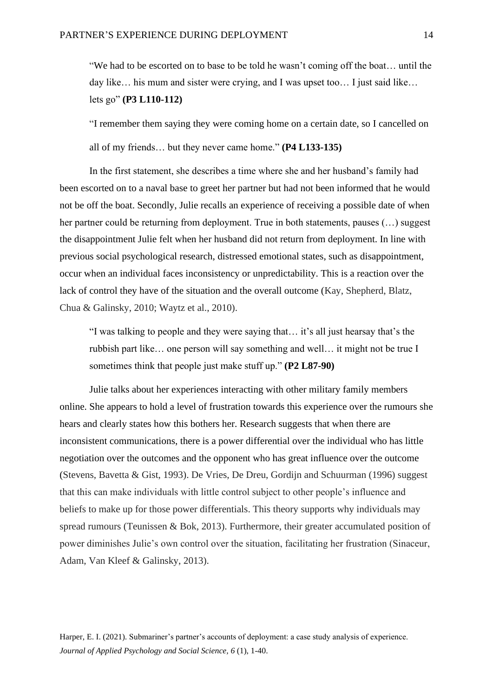"We had to be escorted on to base to be told he wasn't coming off the boat… until the day like… his mum and sister were crying, and I was upset too… I just said like… lets go" **(P3 L110-112)**

"I remember them saying they were coming home on a certain date, so I cancelled on

all of my friends… but they never came home." **(P4 L133-135)**

In the first statement, she describes a time where she and her husband's family had been escorted on to a naval base to greet her partner but had not been informed that he would not be off the boat. Secondly, Julie recalls an experience of receiving a possible date of when her partner could be returning from deployment. True in both statements, pauses (...) suggest the disappointment Julie felt when her husband did not return from deployment. In line with previous social psychological research, distressed emotional states, such as disappointment, occur when an individual faces inconsistency or unpredictability. This is a reaction over the lack of control they have of the situation and the overall outcome (Kay, Shepherd, Blatz, Chua & Galinsky, 2010; Waytz et al., 2010).

"I was talking to people and they were saying that… it's all just hearsay that's the rubbish part like… one person will say something and well… it might not be true I sometimes think that people just make stuff up." **(P2 L87-90)**

Julie talks about her experiences interacting with other military family members online. She appears to hold a level of frustration towards this experience over the rumours she hears and clearly states how this bothers her. Research suggests that when there are inconsistent communications, there is a power differential over the individual who has little negotiation over the outcomes and the opponent who has great influence over the outcome (Stevens, Bavetta & Gist, 1993). De Vries, De Dreu, Gordijn and Schuurman (1996) suggest that this can make individuals with little control subject to other people's influence and beliefs to make up for those power differentials. This theory supports why individuals may spread rumours (Teunissen & Bok, 2013). Furthermore, their greater accumulated position of power diminishes Julie's own control over the situation, facilitating her frustration (Sinaceur, Adam, Van Kleef & Galinsky, 2013).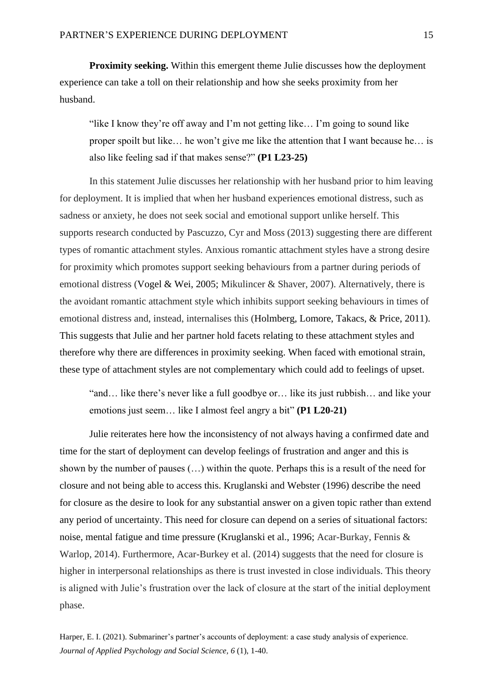**Proximity seeking.** Within this emergent theme Julie discusses how the deployment experience can take a toll on their relationship and how she seeks proximity from her husband.

"like I know they're off away and I'm not getting like… I'm going to sound like proper spoilt but like… he won't give me like the attention that I want because he… is also like feeling sad if that makes sense?" **(P1 L23-25)**

In this statement Julie discusses her relationship with her husband prior to him leaving for deployment. It is implied that when her husband experiences emotional distress, such as sadness or anxiety, he does not seek social and emotional support unlike herself. This supports research conducted by Pascuzzo, Cyr and Moss (2013) suggesting there are different types of romantic attachment styles. Anxious romantic attachment styles have a strong desire for proximity which promotes support seeking behaviours from a partner during periods of emotional distress (Vogel & Wei, 2005; Mikulincer & Shaver, 2007). Alternatively, there is the avoidant romantic attachment style which inhibits support seeking behaviours in times of emotional distress and, instead, internalises this (Holmberg, Lomore, Takacs, & Price, 2011). This suggests that Julie and her partner hold facets relating to these attachment styles and therefore why there are differences in proximity seeking. When faced with emotional strain, these type of attachment styles are not complementary which could add to feelings of upset.

"and… like there's never like a full goodbye or… like its just rubbish… and like your emotions just seem… like I almost feel angry a bit" **(P1 L20-21)**

Julie reiterates here how the inconsistency of not always having a confirmed date and time for the start of deployment can develop feelings of frustration and anger and this is shown by the number of pauses (…) within the quote. Perhaps this is a result of the need for closure and not being able to access this. Kruglanski and Webster (1996) describe the need for closure as the desire to look for any substantial answer on a given topic rather than extend any period of uncertainty. This need for closure can depend on a series of situational factors: noise, mental fatigue and time pressure (Kruglanski et al., 1996; Acar-Burkay, Fennis & Warlop, 2014). Furthermore, Acar-Burkey et al. (2014) suggests that the need for closure is higher in interpersonal relationships as there is trust invested in close individuals. This theory is aligned with Julie's frustration over the lack of closure at the start of the initial deployment phase.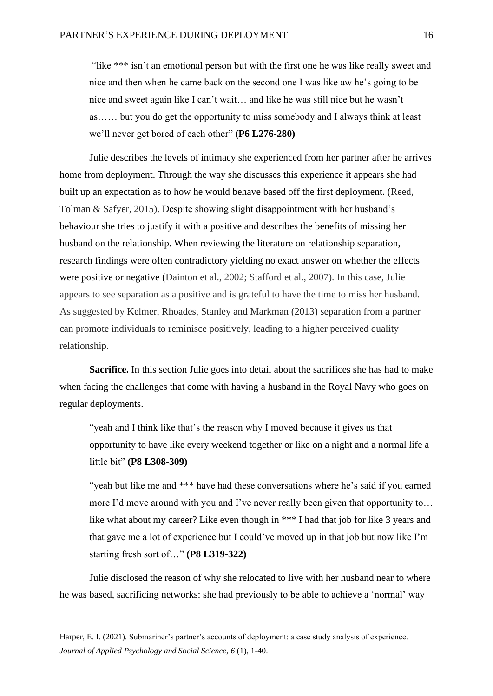"like \*\*\* isn't an emotional person but with the first one he was like really sweet and nice and then when he came back on the second one I was like aw he's going to be nice and sweet again like I can't wait… and like he was still nice but he wasn't as…… but you do get the opportunity to miss somebody and I always think at least we'll never get bored of each other" **(P6 L276-280)**

Julie describes the levels of intimacy she experienced from her partner after he arrives home from deployment. Through the way she discusses this experience it appears she had built up an expectation as to how he would behave based off the first deployment. (Reed, Tolman & Safyer, 2015). Despite showing slight disappointment with her husband's behaviour she tries to justify it with a positive and describes the benefits of missing her husband on the relationship. When reviewing the literature on relationship separation, research findings were often contradictory yielding no exact answer on whether the effects were positive or negative (Dainton et al., 2002; Stafford et al., 2007). In this case, Julie appears to see separation as a positive and is grateful to have the time to miss her husband. As suggested by Kelmer, Rhoades, Stanley and Markman (2013) separation from a partner can promote individuals to reminisce positively, leading to a higher perceived quality relationship.

**Sacrifice.** In this section Julie goes into detail about the sacrifices she has had to make when facing the challenges that come with having a husband in the Royal Navy who goes on regular deployments.

"yeah and I think like that's the reason why I moved because it gives us that opportunity to have like every weekend together or like on a night and a normal life a little bit" **(P8 L308-309)**

"yeah but like me and \*\*\* have had these conversations where he's said if you earned more I'd move around with you and I've never really been given that opportunity to… like what about my career? Like even though in \*\*\* I had that job for like 3 years and that gave me a lot of experience but I could've moved up in that job but now like I'm starting fresh sort of…" **(P8 L319-322)**

Julie disclosed the reason of why she relocated to live with her husband near to where he was based, sacrificing networks: she had previously to be able to achieve a 'normal' way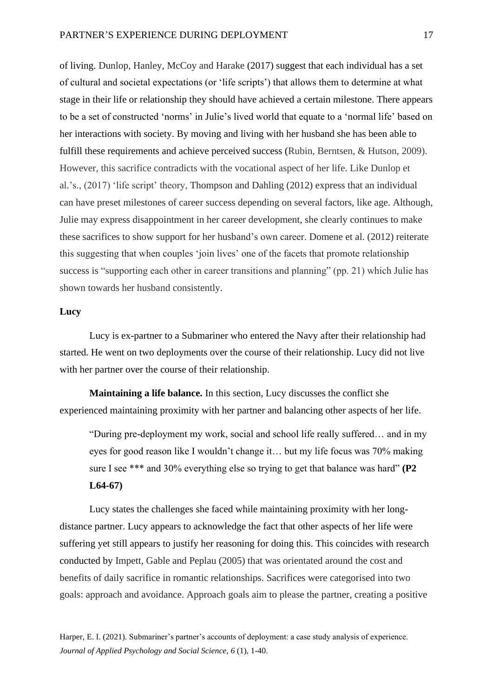of living. Dunlop, Hanley, McCoy and Harake (2017) suggest that each individual has a set of cultural and societal expectations (or 'life scripts') that allows them to determine at what stage in their life or relationship they should have achieved a certain milestone. There appears to be a set of constructed 'norms' in Julie's lived world that equate to a 'normal life' based on her interactions with society. By moving and living with her husband she has been able to fulfill these requirements and achieve perceived success (Rubin, Berntsen, & Hutson, 2009). However, this sacrifice contradicts with the vocational aspect of her life. Like Dunlop et al.'s., (2017) 'life script' theory, Thompson and Dahling (2012) express that an individual can have preset milestones of career success depending on several factors, like age. Although, Julie may express disappointment in her career development, she clearly continues to make these sacrifices to show support for her husband's own career. Domene et al. (2012) reiterate this suggesting that when couples 'join lives' one of the facets that promote relationship success is "supporting each other in career transitions and planning" (pp. 21) which Julie has shown towards her husband consistently.

# **Lucy**

Lucy is ex-partner to a Submariner who entered the Navy after their relationship had started. He went on two deployments over the course of their relationship. Lucy did not live with her partner over the course of their relationship.

**Maintaining a life balance.** In this section, Lucy discusses the conflict she experienced maintaining proximity with her partner and balancing other aspects of her life.

"During pre-deployment my work, social and school life really suffered… and in my eyes for good reason like I wouldn't change it… but my life focus was 70% making sure I see \*\*\* and 30% everything else so trying to get that balance was hard" **(P2 L64-67)**

Lucy states the challenges she faced while maintaining proximity with her longdistance partner. Lucy appears to acknowledge the fact that other aspects of her life were suffering yet still appears to justify her reasoning for doing this. This coincides with research conducted by Impett, Gable and Peplau (2005) that was orientated around the cost and benefits of daily sacrifice in romantic relationships. Sacrifices were categorised into two goals: approach and avoidance. Approach goals aim to please the partner, creating a positive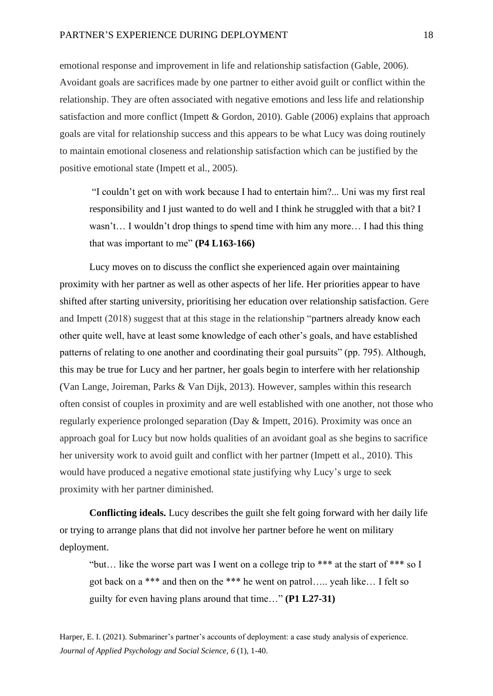emotional response and improvement in life and relationship satisfaction (Gable, 2006). Avoidant goals are sacrifices made by one partner to either avoid guilt or conflict within the relationship. They are often associated with negative emotions and less life and relationship satisfaction and more conflict (Impett & Gordon, 2010). Gable (2006) explains that approach goals are vital for relationship success and this appears to be what Lucy was doing routinely to maintain emotional closeness and relationship satisfaction which can be justified by the positive emotional state (Impett et al., 2005).

"I couldn't get on with work because I had to entertain him?... Uni was my first real responsibility and I just wanted to do well and I think he struggled with that a bit? I wasn't… I wouldn't drop things to spend time with him any more… I had this thing that was important to me" **(P4 L163-166)**

Lucy moves on to discuss the conflict she experienced again over maintaining proximity with her partner as well as other aspects of her life. Her priorities appear to have shifted after starting university, prioritising her education over relationship satisfaction. Gere and Impett (2018) suggest that at this stage in the relationship "partners already know each other quite well, have at least some knowledge of each other's goals, and have established patterns of relating to one another and coordinating their goal pursuits" (pp. 795). Although, this may be true for Lucy and her partner, her goals begin to interfere with her relationship (Van Lange, Joireman, Parks & Van Dijk, 2013). However, samples within this research often consist of couples in proximity and are well established with one another, not those who regularly experience prolonged separation (Day & Impett, 2016). Proximity was once an approach goal for Lucy but now holds qualities of an avoidant goal as she begins to sacrifice her university work to avoid guilt and conflict with her partner (Impett et al., 2010). This would have produced a negative emotional state justifying why Lucy's urge to seek proximity with her partner diminished.

**Conflicting ideals.** Lucy describes the guilt she felt going forward with her daily life or trying to arrange plans that did not involve her partner before he went on military deployment.

"but… like the worse part was I went on a college trip to \*\*\* at the start of \*\*\* so I got back on a \*\*\* and then on the \*\*\* he went on patrol….. yeah like… I felt so guilty for even having plans around that time…" **(P1 L27-31)**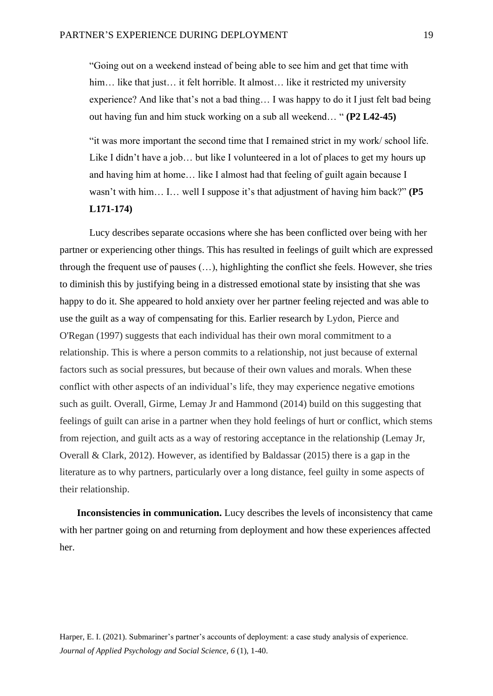"Going out on a weekend instead of being able to see him and get that time with him... like that just... it felt horrible. It almost... like it restricted my university experience? And like that's not a bad thing… I was happy to do it I just felt bad being out having fun and him stuck working on a sub all weekend… " **(P2 L42-45)**

"it was more important the second time that I remained strict in my work/ school life. Like I didn't have a job… but like I volunteered in a lot of places to get my hours up and having him at home… like I almost had that feeling of guilt again because I wasn't with him… I… well I suppose it's that adjustment of having him back?" **(P5 L171-174)**

Lucy describes separate occasions where she has been conflicted over being with her partner or experiencing other things. This has resulted in feelings of guilt which are expressed through the frequent use of pauses (…), highlighting the conflict she feels. However, she tries to diminish this by justifying being in a distressed emotional state by insisting that she was happy to do it. She appeared to hold anxiety over her partner feeling rejected and was able to use the guilt as a way of compensating for this. Earlier research by Lydon, Pierce and O'Regan (1997) suggests that each individual has their own moral commitment to a relationship. This is where a person commits to a relationship, not just because of external factors such as social pressures, but because of their own values and morals. When these conflict with other aspects of an individual's life, they may experience negative emotions such as guilt. Overall, Girme, Lemay Jr and Hammond (2014) build on this suggesting that feelings of guilt can arise in a partner when they hold feelings of hurt or conflict, which stems from rejection, and guilt acts as a way of restoring acceptance in the relationship (Lemay Jr, Overall & Clark, 2012). However, as identified by Baldassar (2015) there is a gap in the literature as to why partners, particularly over a long distance, feel guilty in some aspects of their relationship.

**Inconsistencies in communication.** Lucy describes the levels of inconsistency that came with her partner going on and returning from deployment and how these experiences affected her.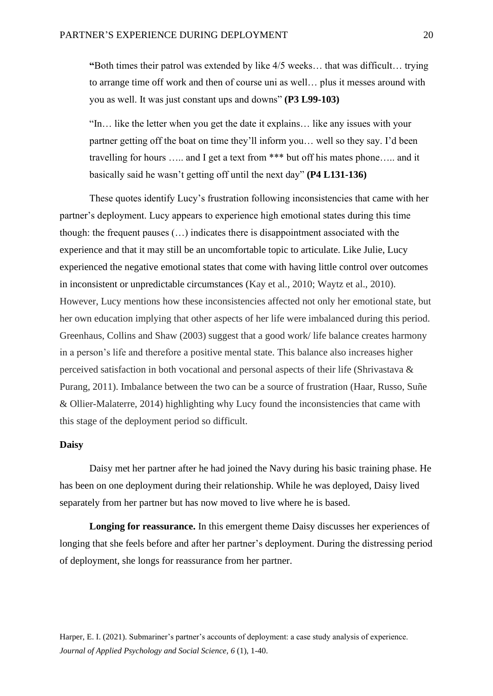**"**Both times their patrol was extended by like 4/5 weeks… that was difficult… trying to arrange time off work and then of course uni as well… plus it messes around with you as well. It was just constant ups and downs" **(P3 L99-103)**

"In… like the letter when you get the date it explains… like any issues with your partner getting off the boat on time they'll inform you… well so they say. I'd been travelling for hours ….. and I get a text from \*\*\* but off his mates phone….. and it basically said he wasn't getting off until the next day" **(P4 L131-136)**

These quotes identify Lucy's frustration following inconsistencies that came with her partner's deployment. Lucy appears to experience high emotional states during this time though: the frequent pauses (…) indicates there is disappointment associated with the experience and that it may still be an uncomfortable topic to articulate. Like Julie, Lucy experienced the negative emotional states that come with having little control over outcomes in inconsistent or unpredictable circumstances (Kay et al., 2010; Waytz et al., 2010). However, Lucy mentions how these inconsistencies affected not only her emotional state, but her own education implying that other aspects of her life were imbalanced during this period. Greenhaus, Collins and Shaw (2003) suggest that a good work/ life balance creates harmony in a person's life and therefore a positive mental state. This balance also increases higher perceived satisfaction in both vocational and personal aspects of their life (Shrivastava & Purang, 2011). Imbalance between the two can be a source of frustration (Haar, Russo, Suñe & Ollier-Malaterre, 2014) highlighting why Lucy found the inconsistencies that came with this stage of the deployment period so difficult.

# **Daisy**

Daisy met her partner after he had joined the Navy during his basic training phase. He has been on one deployment during their relationship. While he was deployed, Daisy lived separately from her partner but has now moved to live where he is based.

**Longing for reassurance.** In this emergent theme Daisy discusses her experiences of longing that she feels before and after her partner's deployment. During the distressing period of deployment, she longs for reassurance from her partner.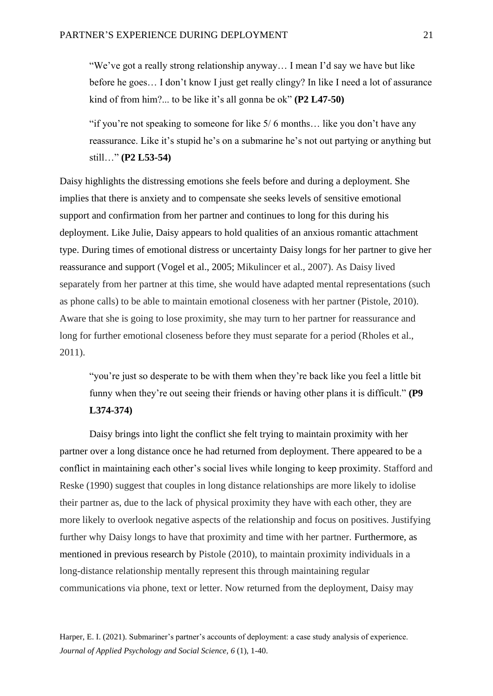"We've got a really strong relationship anyway… I mean I'd say we have but like before he goes… I don't know I just get really clingy? In like I need a lot of assurance kind of from him?... to be like it's all gonna be ok" **(P2 L47-50)**

"if you're not speaking to someone for like 5/ 6 months… like you don't have any reassurance. Like it's stupid he's on a submarine he's not out partying or anything but still…" **(P2 L53-54)**

Daisy highlights the distressing emotions she feels before and during a deployment. She implies that there is anxiety and to compensate she seeks levels of sensitive emotional support and confirmation from her partner and continues to long for this during his deployment. Like Julie, Daisy appears to hold qualities of an anxious romantic attachment type. During times of emotional distress or uncertainty Daisy longs for her partner to give her reassurance and support (Vogel et al., 2005; Mikulincer et al., 2007). As Daisy lived separately from her partner at this time, she would have adapted mental representations (such as phone calls) to be able to maintain emotional closeness with her partner (Pistole, 2010). Aware that she is going to lose proximity, she may turn to her partner for reassurance and long for further emotional closeness before they must separate for a period (Rholes et al., 2011).

"you're just so desperate to be with them when they're back like you feel a little bit funny when they're out seeing their friends or having other plans it is difficult." **(P9 L374-374)**

Daisy brings into light the conflict she felt trying to maintain proximity with her partner over a long distance once he had returned from deployment. There appeared to be a conflict in maintaining each other's social lives while longing to keep proximity. Stafford and Reske (1990) suggest that couples in long distance relationships are more likely to idolise their partner as, due to the lack of physical proximity they have with each other, they are more likely to overlook negative aspects of the relationship and focus on positives. Justifying further why Daisy longs to have that proximity and time with her partner. Furthermore, as mentioned in previous research by Pistole (2010), to maintain proximity individuals in a long-distance relationship mentally represent this through maintaining regular communications via phone, text or letter. Now returned from the deployment, Daisy may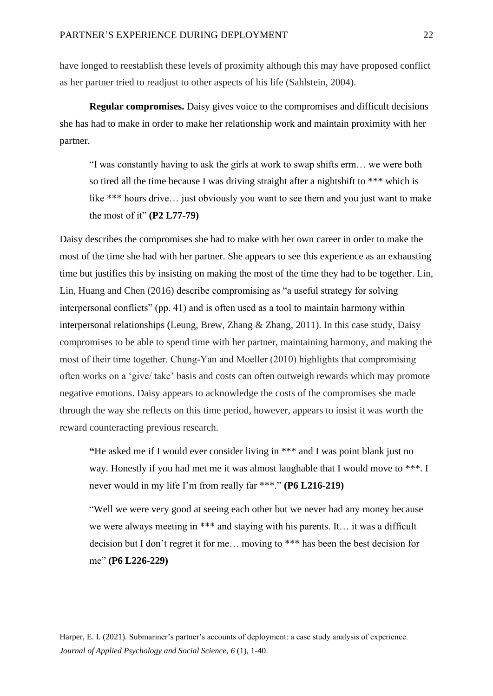have longed to reestablish these levels of proximity although this may have proposed conflict as her partner tried to readjust to other aspects of his life (Sahlstein, 2004).

**Regular compromises.** Daisy gives voice to the compromises and difficult decisions she has had to make in order to make her relationship work and maintain proximity with her partner.

"I was constantly having to ask the girls at work to swap shifts erm… we were both so tired all the time because I was driving straight after a nightshift to \*\*\* which is like \*\*\* hours drive... just obviously you want to see them and you just want to make the most of it" **(P2 L77-79)**

Daisy describes the compromises she had to make with her own career in order to make the most of the time she had with her partner. She appears to see this experience as an exhausting time but justifies this by insisting on making the most of the time they had to be together. Lin, Lin, Huang and Chen (2016) describe compromising as "a useful strategy for solving interpersonal conflicts" (pp. 41) and is often used as a tool to maintain harmony within interpersonal relationships (Leung, Brew, Zhang & Zhang, 2011). In this case study, Daisy compromises to be able to spend time with her partner, maintaining harmony, and making the most of their time together. Chung‐Yan and Moeller (2010) highlights that compromising often works on a 'give/ take' basis and costs can often outweigh rewards which may promote negative emotions. Daisy appears to acknowledge the costs of the compromises she made through the way she reflects on this time period, however, appears to insist it was worth the reward counteracting previous research.

**"**He asked me if I would ever consider living in \*\*\* and I was point blank just no way. Honestly if you had met me it was almost laughable that I would move to \*\*\*. I never would in my life I'm from really far \*\*\*." **(P6 L216-219)**

"Well we were very good at seeing each other but we never had any money because we were always meeting in \*\*\* and staying with his parents. It… it was a difficult decision but I don't regret it for me… moving to \*\*\* has been the best decision for me" **(P6 L226-229)**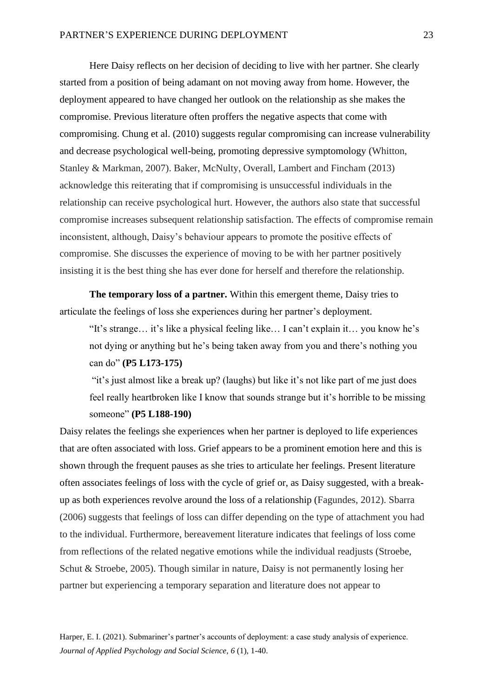Here Daisy reflects on her decision of deciding to live with her partner. She clearly started from a position of being adamant on not moving away from home. However, the deployment appeared to have changed her outlook on the relationship as she makes the compromise. Previous literature often proffers the negative aspects that come with compromising. Chung et al. (2010) suggests regular compromising can increase vulnerability and decrease psychological well-being, promoting depressive symptomology (Whitton, Stanley & Markman, 2007). Baker, McNulty, Overall, Lambert and Fincham (2013) acknowledge this reiterating that if compromising is unsuccessful individuals in the relationship can receive psychological hurt. However, the authors also state that successful compromise increases subsequent relationship satisfaction. The effects of compromise remain inconsistent, although, Daisy's behaviour appears to promote the positive effects of compromise. She discusses the experience of moving to be with her partner positively insisting it is the best thing she has ever done for herself and therefore the relationship.

**The temporary loss of a partner.** Within this emergent theme, Daisy tries to articulate the feelings of loss she experiences during her partner's deployment.

"It's strange… it's like a physical feeling like… I can't explain it… you know he's not dying or anything but he's being taken away from you and there's nothing you can do" **(P5 L173-175)**

"it's just almost like a break up? (laughs) but like it's not like part of me just does feel really heartbroken like I know that sounds strange but it's horrible to be missing someone" **(P5 L188-190)**

Daisy relates the feelings she experiences when her partner is deployed to life experiences that are often associated with loss. Grief appears to be a prominent emotion here and this is shown through the frequent pauses as she tries to articulate her feelings. Present literature often associates feelings of loss with the cycle of grief or, as Daisy suggested, with a breakup as both experiences revolve around the loss of a relationship (Fagundes, 2012). Sbarra (2006) suggests that feelings of loss can differ depending on the type of attachment you had to the individual. Furthermore, bereavement literature indicates that feelings of loss come from reflections of the related negative emotions while the individual readjusts (Stroebe, Schut & Stroebe, 2005). Though similar in nature, Daisy is not permanently losing her partner but experiencing a temporary separation and literature does not appear to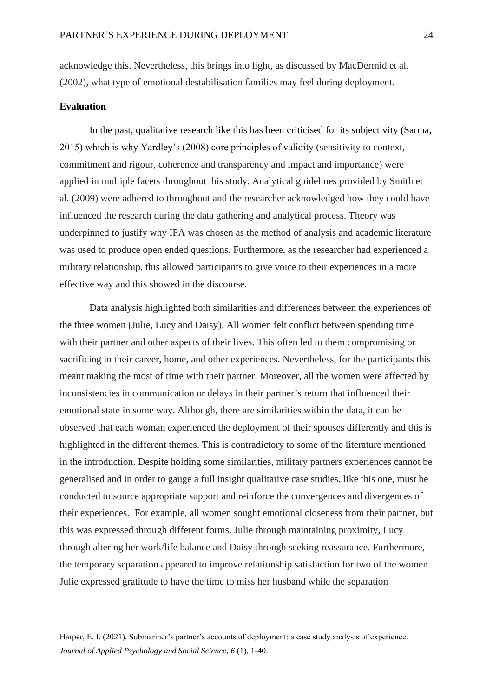acknowledge this. Nevertheless, this brings into light, as discussed by MacDermid et al. (2002), what type of emotional destabilisation families may feel during deployment.

# **Evaluation**

In the past, qualitative research like this has been criticised for its subjectivity (Sarma, 2015) which is why Yardley's (2008) core principles of validity (sensitivity to context, commitment and rigour, coherence and transparency and impact and importance) were applied in multiple facets throughout this study. Analytical guidelines provided by Smith et al. (2009) were adhered to throughout and the researcher acknowledged how they could have influenced the research during the data gathering and analytical process. Theory was underpinned to justify why IPA was chosen as the method of analysis and academic literature was used to produce open ended questions. Furthermore, as the researcher had experienced a military relationship, this allowed participants to give voice to their experiences in a more effective way and this showed in the discourse.

Data analysis highlighted both similarities and differences between the experiences of the three women (Julie, Lucy and Daisy). All women felt conflict between spending time with their partner and other aspects of their lives. This often led to them compromising or sacrificing in their career, home, and other experiences. Nevertheless, for the participants this meant making the most of time with their partner. Moreover, all the women were affected by inconsistencies in communication or delays in their partner's return that influenced their emotional state in some way. Although, there are similarities within the data, it can be observed that each woman experienced the deployment of their spouses differently and this is highlighted in the different themes. This is contradictory to some of the literature mentioned in the introduction. Despite holding some similarities, military partners experiences cannot be generalised and in order to gauge a full insight qualitative case studies, like this one, must be conducted to source appropriate support and reinforce the convergences and divergences of their experiences. For example, all women sought emotional closeness from their partner, but this was expressed through different forms. Julie through maintaining proximity, Lucy through altering her work/life balance and Daisy through seeking reassurance. Furthermore, the temporary separation appeared to improve relationship satisfaction for two of the women. Julie expressed gratitude to have the time to miss her husband while the separation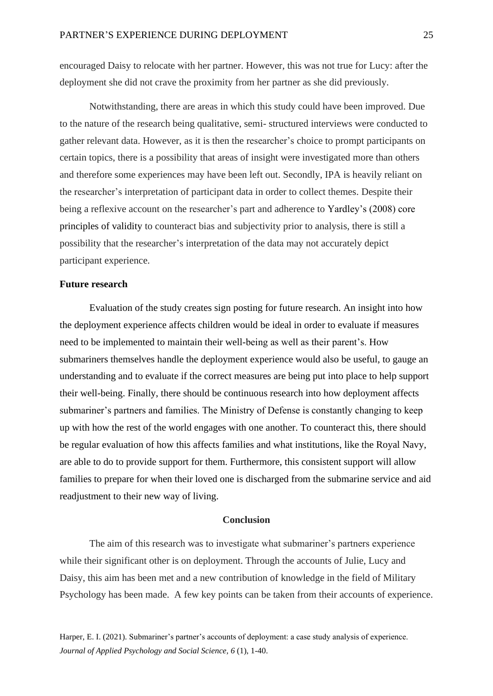encouraged Daisy to relocate with her partner. However, this was not true for Lucy: after the deployment she did not crave the proximity from her partner as she did previously.

Notwithstanding, there are areas in which this study could have been improved. Due to the nature of the research being qualitative, semi- structured interviews were conducted to gather relevant data. However, as it is then the researcher's choice to prompt participants on certain topics, there is a possibility that areas of insight were investigated more than others and therefore some experiences may have been left out. Secondly, IPA is heavily reliant on the researcher's interpretation of participant data in order to collect themes. Despite their being a reflexive account on the researcher's part and adherence to Yardley's (2008) core principles of validity to counteract bias and subjectivity prior to analysis, there is still a possibility that the researcher's interpretation of the data may not accurately depict participant experience.

### **Future research**

Evaluation of the study creates sign posting for future research. An insight into how the deployment experience affects children would be ideal in order to evaluate if measures need to be implemented to maintain their well-being as well as their parent's. How submariners themselves handle the deployment experience would also be useful, to gauge an understanding and to evaluate if the correct measures are being put into place to help support their well-being. Finally, there should be continuous research into how deployment affects submariner's partners and families. The Ministry of Defense is constantly changing to keep up with how the rest of the world engages with one another. To counteract this, there should be regular evaluation of how this affects families and what institutions, like the Royal Navy, are able to do to provide support for them. Furthermore, this consistent support will allow families to prepare for when their loved one is discharged from the submarine service and aid readjustment to their new way of living.

### **Conclusion**

The aim of this research was to investigate what submariner's partners experience while their significant other is on deployment. Through the accounts of Julie, Lucy and Daisy, this aim has been met and a new contribution of knowledge in the field of Military Psychology has been made. A few key points can be taken from their accounts of experience.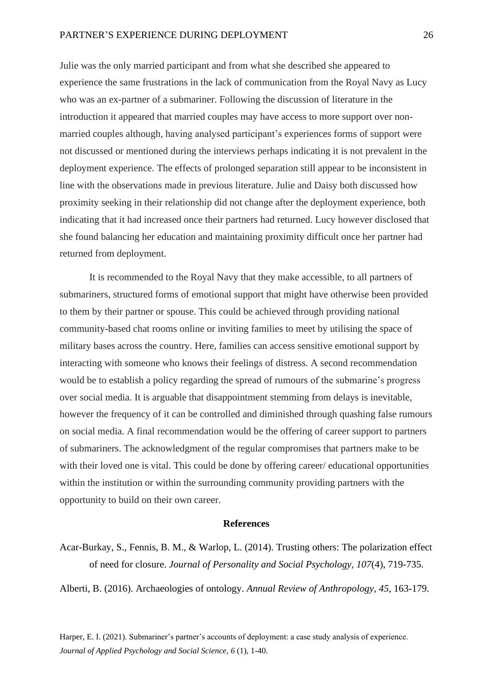Julie was the only married participant and from what she described she appeared to experience the same frustrations in the lack of communication from the Royal Navy as Lucy who was an ex-partner of a submariner. Following the discussion of literature in the introduction it appeared that married couples may have access to more support over nonmarried couples although, having analysed participant's experiences forms of support were not discussed or mentioned during the interviews perhaps indicating it is not prevalent in the deployment experience. The effects of prolonged separation still appear to be inconsistent in line with the observations made in previous literature. Julie and Daisy both discussed how proximity seeking in their relationship did not change after the deployment experience, both indicating that it had increased once their partners had returned. Lucy however disclosed that she found balancing her education and maintaining proximity difficult once her partner had returned from deployment.

It is recommended to the Royal Navy that they make accessible, to all partners of submariners, structured forms of emotional support that might have otherwise been provided to them by their partner or spouse. This could be achieved through providing national community-based chat rooms online or inviting families to meet by utilising the space of military bases across the country. Here, families can access sensitive emotional support by interacting with someone who knows their feelings of distress. A second recommendation would be to establish a policy regarding the spread of rumours of the submarine's progress over social media. It is arguable that disappointment stemming from delays is inevitable, however the frequency of it can be controlled and diminished through quashing false rumours on social media. A final recommendation would be the offering of career support to partners of submariners. The acknowledgment of the regular compromises that partners make to be with their loved one is vital. This could be done by offering career/ educational opportunities within the institution or within the surrounding community providing partners with the opportunity to build on their own career.

#### **References**

Acar-Burkay, S., Fennis, B. M., & Warlop, L. (2014). Trusting others: The polarization effect of need for closure. *Journal of Personality and Social Psychology, 107*(4), 719-735.

Alberti, B. (2016). Archaeologies of ontology. *Annual Review of Anthropology, 45*, 163-179.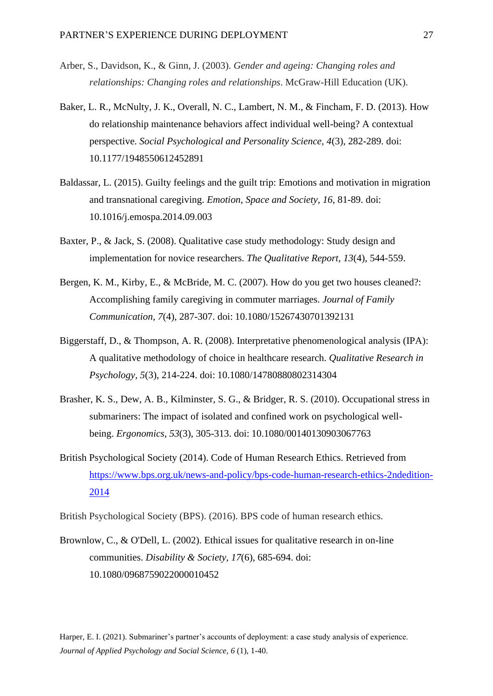- Arber, S., Davidson, K., & Ginn, J. (2003). *Gender and ageing: Changing roles and relationships: Changing roles and relationships*. McGraw-Hill Education (UK).
- Baker, L. R., McNulty, J. K., Overall, N. C., Lambert, N. M., & Fincham, F. D. (2013). How do relationship maintenance behaviors affect individual well-being? A contextual perspective. *Social Psychological and Personality Science, 4*(3), 282-289. doi: 10.1177/1948550612452891
- Baldassar, L. (2015). Guilty feelings and the guilt trip: Emotions and motivation in migration and transnational caregiving. *Emotion, Space and Society, 16*, 81-89. doi: 10.1016/j.emospa.2014.09.003
- Baxter, P., & Jack, S. (2008). Qualitative case study methodology: Study design and implementation for novice researchers. *The Qualitative Report, 13*(4), 544-559.
- Bergen, K. M., Kirby, E., & McBride, M. C. (2007). How do you get two houses cleaned?: Accomplishing family caregiving in commuter marriages. *Journal of Family Communication, 7*(4), 287-307. doi: 10.1080/15267430701392131
- Biggerstaff, D., & Thompson, A. R. (2008). Interpretative phenomenological analysis (IPA): A qualitative methodology of choice in healthcare research. *Qualitative Research in Psychology, 5*(3), 214-224. doi: 10.1080/14780880802314304
- Brasher, K. S., Dew, A. B., Kilminster, S. G., & Bridger, R. S. (2010). Occupational stress in submariners: The impact of isolated and confined work on psychological wellbeing. *Ergonomics, 53*(3), 305-313. doi: 10.1080/00140130903067763
- British Psychological Society (2014). Code of Human Research Ethics. Retrieved from [https://www.bps.org.uk/news-and-policy/bps-code-human-research-ethics-2ndedition-](https://www.bps.org.uk/news-and-policy/bps-code-human-research-ethics-2ndedition-2014)[2014](https://www.bps.org.uk/news-and-policy/bps-code-human-research-ethics-2ndedition-2014)

British Psychological Society (BPS). (2016). BPS code of human research ethics.

Brownlow, C., & O'Dell, L. (2002). Ethical issues for qualitative research in on-line communities. *Disability & Society, 17*(6), 685-694. doi: 10.1080/0968759022000010452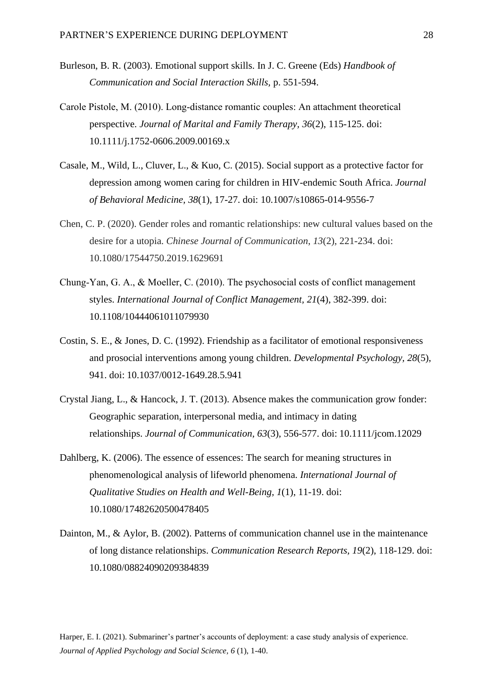- Burleson, B. R. (2003). Emotional support skills. In J. C. Greene (Eds) *Handbook of Communication and Social Interaction Skills,* p. 551-594.
- Carole Pistole, M. (2010). Long‐distance romantic couples: An attachment theoretical perspective. *Journal of Marital and Family Therapy, 36*(2), 115-125. doi: 10.1111/j.1752-0606.2009.00169.x
- Casale, M., Wild, L., Cluver, L., & Kuo, C. (2015). Social support as a protective factor for depression among women caring for children in HIV-endemic South Africa. *Journal of Behavioral Medicine, 38*(1), 17-27. doi: 10.1007/s10865-014-9556-7
- Chen, C. P. (2020). Gender roles and romantic relationships: new cultural values based on the desire for a utopia. *Chinese Journal of Communication*, *13*(2), 221-234. doi: 10.1080/17544750.2019.1629691
- Chung‐Yan, G. A., & Moeller, C. (2010). The psychosocial costs of conflict management styles. *International Journal of Conflict Management, 21*(4), 382-399. doi: 10.1108/10444061011079930
- Costin, S. E., & Jones, D. C. (1992). Friendship as a facilitator of emotional responsiveness and prosocial interventions among young children. *Developmental Psychology, 28*(5), 941. doi: 10.1037/0012-1649.28.5.941
- Crystal Jiang, L., & Hancock, J. T. (2013). Absence makes the communication grow fonder: Geographic separation, interpersonal media, and intimacy in dating relationships. *Journal of Communication, 63*(3), 556-577. doi: 10.1111/jcom.12029
- Dahlberg, K. (2006). The essence of essences: The search for meaning structures in phenomenological analysis of lifeworld phenomena. *International Journal of Qualitative Studies on Health and Well-Being, 1*(1), 11-19. doi: 10.1080/17482620500478405
- Dainton, M., & Aylor, B. (2002). Patterns of communication channel use in the maintenance of long distance relationships. *Communication Research Reports, 19*(2), 118-129. doi: 10.1080/08824090209384839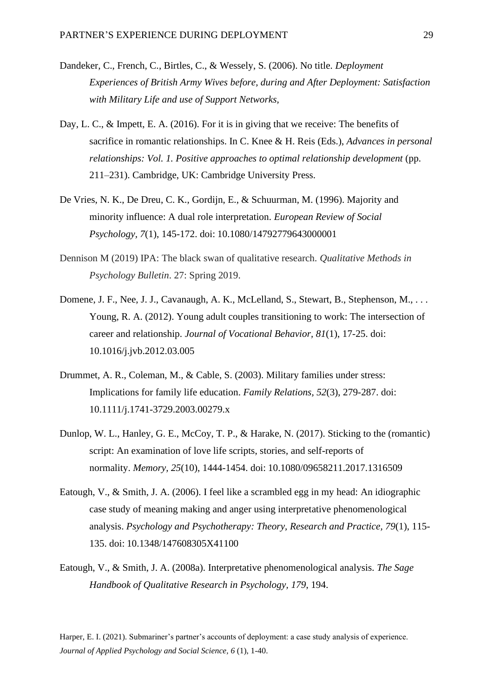- Dandeker, C., French, C., Birtles, C., & Wessely, S. (2006). No title. *Deployment Experiences of British Army Wives before, during and After Deployment: Satisfaction with Military Life and use of Support Networks,*
- Day, L. C., & Impett, E. A. (2016). For it is in giving that we receive: The benefits of sacrifice in romantic relationships. In C. Knee & H. Reis (Eds.), *Advances in personal relationships: Vol. 1. Positive approaches to optimal relationship development* (pp. 211–231). Cambridge, UK: Cambridge University Press.
- De Vries, N. K., De Dreu, C. K., Gordijn, E., & Schuurman, M. (1996). Majority and minority influence: A dual role interpretation. *European Review of Social Psychology, 7*(1), 145-172. doi: 10.1080/14792779643000001
- Dennison M (2019) IPA: The black swan of qualitative research. *Qualitative Methods in Psychology Bulletin*. 27: Spring 2019.
- Domene, J. F., Nee, J. J., Cavanaugh, A. K., McLelland, S., Stewart, B., Stephenson, M., ... Young, R. A. (2012). Young adult couples transitioning to work: The intersection of career and relationship. *Journal of Vocational Behavior, 81*(1), 17-25. doi: 10.1016/j.jvb.2012.03.005
- Drummet, A. R., Coleman, M., & Cable, S. (2003). Military families under stress: Implications for family life education. *Family Relations, 52*(3), 279-287. doi: 10.1111/j.1741-3729.2003.00279.x
- Dunlop, W. L., Hanley, G. E., McCoy, T. P., & Harake, N. (2017). Sticking to the (romantic) script: An examination of love life scripts, stories, and self-reports of normality. *Memory, 25*(10), 1444-1454. doi: 10.1080/09658211.2017.1316509
- Eatough, V., & Smith, J. A. (2006). I feel like a scrambled egg in my head: An idiographic case study of meaning making and anger using interpretative phenomenological analysis. *Psychology and Psychotherapy: Theory, Research and Practice, 79*(1), 115- 135. doi: 10.1348/147608305X41100
- Eatough, V., & Smith, J. A. (2008a). Interpretative phenomenological analysis. *The Sage Handbook of Qualitative Research in Psychology, 179*, 194.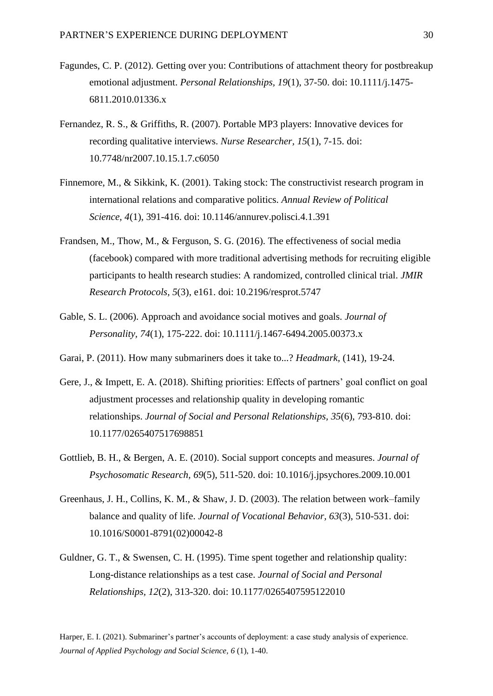- Fagundes, C. P. (2012). Getting over you: Contributions of attachment theory for postbreakup emotional adjustment. *Personal Relationships, 19*(1), 37-50. doi: 10.1111/j.1475- 6811.2010.01336.x
- Fernandez, R. S., & Griffiths, R. (2007). Portable MP3 players: Innovative devices for recording qualitative interviews. *Nurse Researcher, 15*(1), 7-15. doi: 10.7748/nr2007.10.15.1.7.c6050
- Finnemore, M., & Sikkink, K. (2001). Taking stock: The constructivist research program in international relations and comparative politics. *Annual Review of Political Science, 4*(1), 391-416. doi: 10.1146/annurev.polisci.4.1.391
- Frandsen, M., Thow, M., & Ferguson, S. G. (2016). The effectiveness of social media (facebook) compared with more traditional advertising methods for recruiting eligible participants to health research studies: A randomized, controlled clinical trial. *JMIR Research Protocols, 5*(3), e161. doi: 10.2196/resprot.5747
- Gable, S. L. (2006). Approach and avoidance social motives and goals. *Journal of Personality, 74*(1), 175-222. doi: 10.1111/j.1467-6494.2005.00373.x
- Garai, P. (2011). How many submariners does it take to...? *Headmark,* (141), 19-24.
- Gere, J., & Impett, E. A. (2018). Shifting priorities: Effects of partners' goal conflict on goal adjustment processes and relationship quality in developing romantic relationships. *Journal of Social and Personal Relationships, 35*(6), 793-810. doi: 10.1177/0265407517698851
- Gottlieb, B. H., & Bergen, A. E. (2010). Social support concepts and measures. *Journal of Psychosomatic Research, 69*(5), 511-520. doi: 10.1016/j.jpsychores.2009.10.001
- Greenhaus, J. H., Collins, K. M., & Shaw, J. D. (2003). The relation between work–family balance and quality of life. *Journal of Vocational Behavior, 63*(3), 510-531. doi: 10.1016/S0001-8791(02)00042-8
- Guldner, G. T., & Swensen, C. H. (1995). Time spent together and relationship quality: Long-distance relationships as a test case. *Journal of Social and Personal Relationships, 12*(2), 313-320. doi: 10.1177/0265407595122010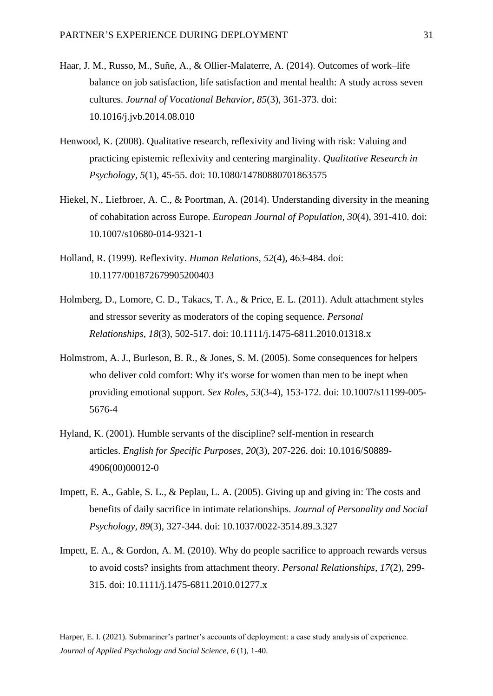- Haar, J. M., Russo, M., Suñe, A., & Ollier-Malaterre, A. (2014). Outcomes of work–life balance on job satisfaction, life satisfaction and mental health: A study across seven cultures. *Journal of Vocational Behavior, 85*(3), 361-373. doi: 10.1016/j.jvb.2014.08.010
- Henwood, K. (2008). Qualitative research, reflexivity and living with risk: Valuing and practicing epistemic reflexivity and centering marginality. *Qualitative Research in Psychology, 5*(1), 45-55. doi: 10.1080/14780880701863575
- Hiekel, N., Liefbroer, A. C., & Poortman, A. (2014). Understanding diversity in the meaning of cohabitation across Europe. *European Journal of Population, 30*(4), 391-410. doi: 10.1007/s10680-014-9321-1
- Holland, R. (1999). Reflexivity. *Human Relations, 52*(4), 463-484. doi: 10.1177/001872679905200403
- Holmberg, D., Lomore, C. D., Takacs, T. A., & Price, E. L. (2011). Adult attachment styles and stressor severity as moderators of the coping sequence. *Personal Relationships, 18*(3), 502-517. doi: 10.1111/j.1475-6811.2010.01318.x
- Holmstrom, A. J., Burleson, B. R., & Jones, S. M. (2005). Some consequences for helpers who deliver cold comfort: Why it's worse for women than men to be inept when providing emotional support. *Sex Roles, 53*(3-4), 153-172. doi: 10.1007/s11199-005- 5676-4
- Hyland, K. (2001). Humble servants of the discipline? self-mention in research articles. *English for Specific Purposes, 20*(3), 207-226. doi: 10.1016/S0889- 4906(00)00012-0
- Impett, E. A., Gable, S. L., & Peplau, L. A. (2005). Giving up and giving in: The costs and benefits of daily sacrifice in intimate relationships. *Journal of Personality and Social Psychology, 89*(3), 327-344. doi: 10.1037/0022-3514.89.3.327
- Impett, E. A., & Gordon, A. M. (2010). Why do people sacrifice to approach rewards versus to avoid costs? insights from attachment theory. *Personal Relationships, 17*(2), 299- 315. doi: 10.1111/j.1475-6811.2010.01277.x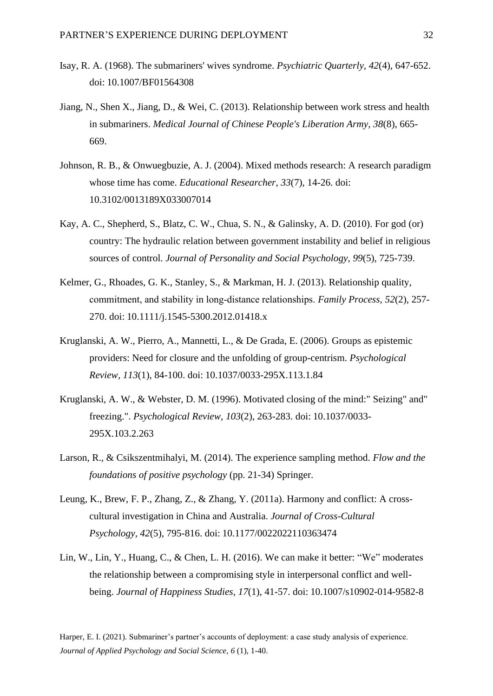- Isay, R. A. (1968). The submariners' wives syndrome. *Psychiatric Quarterly, 42*(4), 647-652. doi: 10.1007/BF01564308
- Jiang, N., Shen X., Jiang, D., & Wei, C. (2013). Relationship between work stress and health in submariners. *Medical Journal of Chinese People's Liberation Army, 38*(8), 665- 669.
- Johnson, R. B., & Onwuegbuzie, A. J. (2004). Mixed methods research: A research paradigm whose time has come. *Educational Researcher, 33*(7), 14-26. doi: 10.3102/0013189X033007014
- Kay, A. C., Shepherd, S., Blatz, C. W., Chua, S. N., & Galinsky, A. D. (2010). For god (or) country: The hydraulic relation between government instability and belief in religious sources of control. *Journal of Personality and Social Psychology, 99*(5), 725-739.
- Kelmer, G., Rhoades, G. K., Stanley, S., & Markman, H. J. (2013). Relationship quality, commitment, and stability in long‐distance relationships. *Family Process, 52*(2), 257- 270. doi: 10.1111/j.1545-5300.2012.01418.x
- Kruglanski, A. W., Pierro, A., Mannetti, L., & De Grada, E. (2006). Groups as epistemic providers: Need for closure and the unfolding of group-centrism. *Psychological Review, 113*(1), 84-100. doi: 10.1037/0033-295X.113.1.84
- Kruglanski, A. W., & Webster, D. M. (1996). Motivated closing of the mind:" Seizing" and" freezing.". *Psychological Review, 103*(2), 263-283. doi: 10.1037/0033- 295X.103.2.263
- Larson, R., & Csikszentmihalyi, M. (2014). The experience sampling method. *Flow and the foundations of positive psychology* (pp. 21-34) Springer.
- Leung, K., Brew, F. P., Zhang, Z., & Zhang, Y. (2011a). Harmony and conflict: A crosscultural investigation in China and Australia. *Journal of Cross-Cultural Psychology, 42*(5), 795-816. doi: 10.1177/0022022110363474
- Lin, W., Lin, Y., Huang, C., & Chen, L. H. (2016). We can make it better: "We" moderates the relationship between a compromising style in interpersonal conflict and wellbeing. *Journal of Happiness Studies, 17*(1), 41-57. doi: 10.1007/s10902-014-9582-8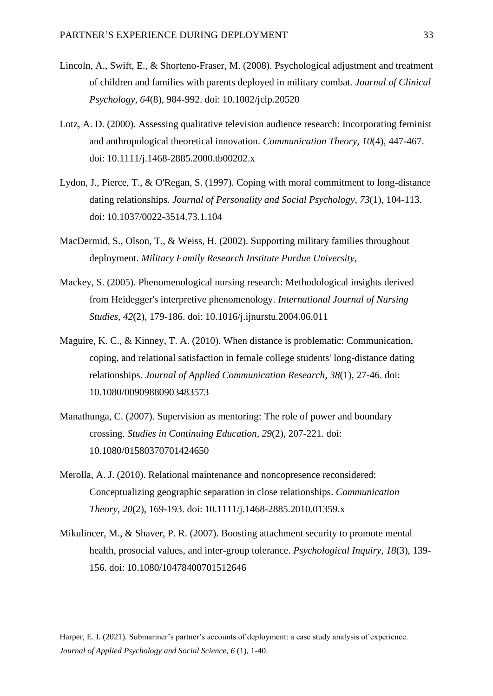- Lincoln, A., Swift, E., & Shorteno-Fraser, M. (2008). Psychological adjustment and treatment of children and families with parents deployed in military combat. *Journal of Clinical Psychology, 64*(8), 984-992. doi: 10.1002/jclp.20520
- Lotz, A. D. (2000). Assessing qualitative television audience research: Incorporating feminist and anthropological theoretical innovation. *Communication Theory, 10*(4), 447-467. doi: 10.1111/j.1468-2885.2000.tb00202.x
- Lydon, J., Pierce, T., & O'Regan, S. (1997). Coping with moral commitment to long-distance dating relationships. *Journal of Personality and Social Psychology, 73*(1), 104-113. doi: 10.1037/0022-3514.73.1.104
- MacDermid, S., Olson, T., & Weiss, H. (2002). Supporting military families throughout deployment. *Military Family Research Institute Purdue University,*
- Mackey, S. (2005). Phenomenological nursing research: Methodological insights derived from Heidegger's interpretive phenomenology. *International Journal of Nursing Studies, 42*(2), 179-186. doi: 10.1016/j.ijnurstu.2004.06.011
- Maguire, K. C., & Kinney, T. A. (2010). When distance is problematic: Communication, coping, and relational satisfaction in female college students' long-distance dating relationships. *Journal of Applied Communication Research, 38*(1), 27-46. doi: 10.1080/00909880903483573
- Manathunga, C. (2007). Supervision as mentoring: The role of power and boundary crossing. *Studies in Continuing Education, 29*(2), 207-221. doi: 10.1080/01580370701424650
- Merolla, A. J. (2010). Relational maintenance and noncopresence reconsidered: Conceptualizing geographic separation in close relationships. *Communication Theory, 20*(2), 169-193. doi: 10.1111/j.1468-2885.2010.01359.x
- Mikulincer, M., & Shaver, P. R. (2007). Boosting attachment security to promote mental health, prosocial values, and inter-group tolerance. *Psychological Inquiry, 18*(3), 139- 156. doi: 10.1080/10478400701512646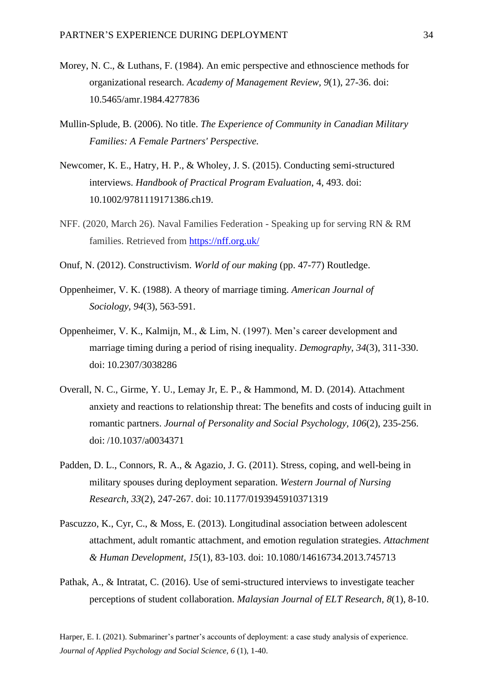- Morey, N. C., & Luthans, F. (1984). An emic perspective and ethnoscience methods for organizational research. *Academy of Management Review, 9*(1), 27-36. doi: 10.5465/amr.1984.4277836
- Mullin-Splude, B. (2006). No title. *The Experience of Community in Canadian Military Families: A Female Partners' Perspective.*
- Newcomer, K. E., Hatry, H. P., & Wholey, J. S. (2015). Conducting semi-structured interviews. *Handbook of Practical Program Evaluation*, 4, 493. doi: 10.1002/9781119171386.ch19.
- NFF. (2020, March 26). Naval Families Federation Speaking up for serving RN & RM families. Retrieved from<https://nff.org.uk/>
- Onuf, N. (2012). Constructivism. *World of our making* (pp. 47-77) Routledge.
- Oppenheimer, V. K. (1988). A theory of marriage timing. *American Journal of Sociology, 94*(3), 563-591.
- Oppenheimer, V. K., Kalmijn, M., & Lim, N. (1997). Men's career development and marriage timing during a period of rising inequality. *Demography, 34*(3), 311-330. doi: 10.2307/3038286
- Overall, N. C., Girme, Y. U., Lemay Jr, E. P., & Hammond, M. D. (2014). Attachment anxiety and reactions to relationship threat: The benefits and costs of inducing guilt in romantic partners. *Journal of Personality and Social Psychology, 106*(2), 235-256. doi: /10.1037/a0034371
- Padden, D. L., Connors, R. A., & Agazio, J. G. (2011). Stress, coping, and well-being in military spouses during deployment separation. *Western Journal of Nursing Research, 33*(2), 247-267. doi: 10.1177/0193945910371319
- Pascuzzo, K., Cyr, C., & Moss, E. (2013). Longitudinal association between adolescent attachment, adult romantic attachment, and emotion regulation strategies. *Attachment & Human Development, 15*(1), 83-103. doi: 10.1080/14616734.2013.745713
- Pathak, A., & Intratat, C. (2016). Use of semi-structured interviews to investigate teacher perceptions of student collaboration. *Malaysian Journal of ELT Research, 8*(1), 8-10.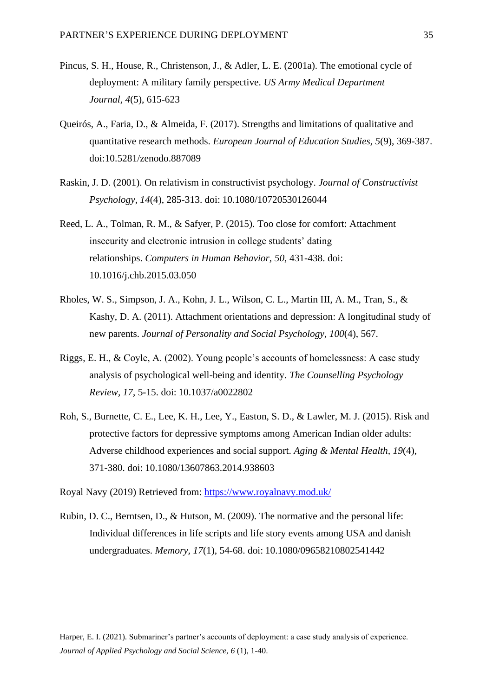- Pincus, S. H., House, R., Christenson, J., & Adler, L. E. (2001a). The emotional cycle of deployment: A military family perspective. *US Army Medical Department Journal, 4*(5), 615-623
- Queirós, A., Faria, D., & Almeida, F. (2017). Strengths and limitations of qualitative and quantitative research methods. *European Journal of Education Studies, 5*(9), 369-387. doi:10.5281/zenodo.887089
- Raskin, J. D. (2001). On relativism in constructivist psychology. *Journal of Constructivist Psychology, 14*(4), 285-313. doi: 10.1080/10720530126044
- Reed, L. A., Tolman, R. M., & Safyer, P. (2015). Too close for comfort: Attachment insecurity and electronic intrusion in college students' dating relationships. *Computers in Human Behavior, 50*, 431-438. doi: 10.1016/j.chb.2015.03.050
- Rholes, W. S., Simpson, J. A., Kohn, J. L., Wilson, C. L., Martin III, A. M., Tran, S., & Kashy, D. A. (2011). Attachment orientations and depression: A longitudinal study of new parents. *Journal of Personality and Social Psychology, 100*(4), 567.
- Riggs, E. H., & Coyle, A. (2002). Young people's accounts of homelessness: A case study analysis of psychological well-being and identity. *The Counselling Psychology Review, 17*, 5-15. doi: 10.1037/a0022802
- Roh, S., Burnette, C. E., Lee, K. H., Lee, Y., Easton, S. D., & Lawler, M. J. (2015). Risk and protective factors for depressive symptoms among American Indian older adults: Adverse childhood experiences and social support. *Aging & Mental Health, 19*(4), 371-380. doi: 10.1080/13607863.2014.938603
- Royal Navy (2019) Retrieved from: <https://www.royalnavy.mod.uk/>
- Rubin, D. C., Berntsen, D., & Hutson, M. (2009). The normative and the personal life: Individual differences in life scripts and life story events among USA and danish undergraduates. *Memory, 17*(1), 54-68. doi: 10.1080/09658210802541442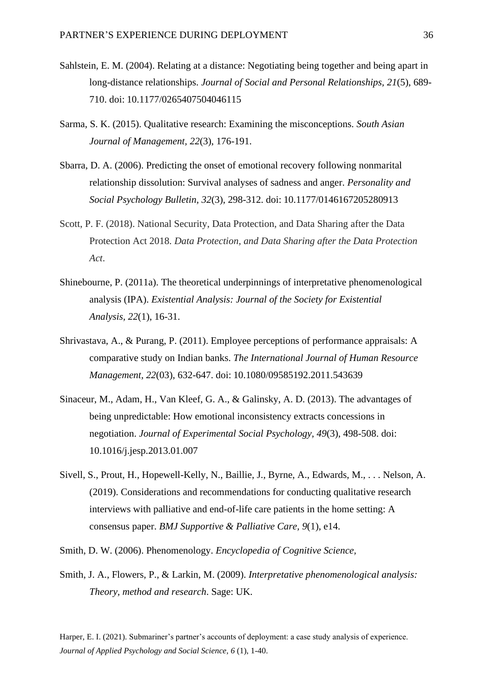- Sahlstein, E. M. (2004). Relating at a distance: Negotiating being together and being apart in long-distance relationships. *Journal of Social and Personal Relationships, 21*(5), 689- 710. doi: 10.1177/0265407504046115
- Sarma, S. K. (2015). Qualitative research: Examining the misconceptions. *South Asian Journal of Management, 22*(3), 176-191.
- Sbarra, D. A. (2006). Predicting the onset of emotional recovery following nonmarital relationship dissolution: Survival analyses of sadness and anger. *Personality and Social Psychology Bulletin, 32*(3), 298-312. doi: 10.1177/0146167205280913
- Scott, P. F. (2018). National Security, Data Protection, and Data Sharing after the Data Protection Act 2018. *Data Protection, and Data Sharing after the Data Protection Act*.
- Shinebourne, P. (2011a). The theoretical underpinnings of interpretative phenomenological analysis (IPA). *Existential Analysis: Journal of the Society for Existential Analysis, 22*(1), 16-31.
- Shrivastava, A., & Purang, P. (2011). Employee perceptions of performance appraisals: A comparative study on Indian banks. *The International Journal of Human Resource Management, 22*(03), 632-647. doi: 10.1080/09585192.2011.543639
- Sinaceur, M., Adam, H., Van Kleef, G. A., & Galinsky, A. D. (2013). The advantages of being unpredictable: How emotional inconsistency extracts concessions in negotiation. *Journal of Experimental Social Psychology, 49*(3), 498-508. doi: 10.1016/j.jesp.2013.01.007
- Sivell, S., Prout, H., Hopewell-Kelly, N., Baillie, J., Byrne, A., Edwards, M., . . . Nelson, A. (2019). Considerations and recommendations for conducting qualitative research interviews with palliative and end-of-life care patients in the home setting: A consensus paper. *BMJ Supportive & Palliative Care, 9*(1), e14.
- Smith, D. W. (2006). Phenomenology. *Encyclopedia of Cognitive Science,*
- Smith, J. A., Flowers, P., & Larkin, M. (2009). *Interpretative phenomenological analysis: Theory, method and research*. Sage: UK.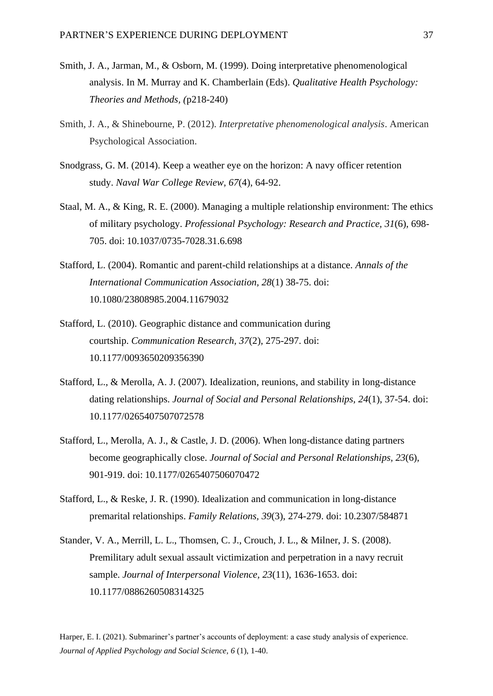- Smith, J. A., Jarman, M., & Osborn, M. (1999). Doing interpretative phenomenological analysis. In M. Murray and K. Chamberlain (Eds). *Qualitative Health Psychology: Theories and Methods, (*p218-240)
- Smith, J. A., & Shinebourne, P. (2012). *Interpretative phenomenological analysis*. American Psychological Association.
- Snodgrass, G. M. (2014). Keep a weather eye on the horizon: A navy officer retention study. *Naval War College Review, 67*(4), 64-92.
- Staal, M. A., & King, R. E. (2000). Managing a multiple relationship environment: The ethics of military psychology. *Professional Psychology: Research and Practice, 31*(6), 698- 705. doi: 10.1037/0735-7028.31.6.698
- Stafford, L. (2004). Romantic and parent-child relationships at a distance. *Annals of the International Communication Association, 28*(1) 38-75. doi: 10.1080/23808985.2004.11679032
- Stafford, L. (2010). Geographic distance and communication during courtship. *Communication Research, 37*(2), 275-297. doi: 10.1177/0093650209356390
- Stafford, L., & Merolla, A. J. (2007). Idealization, reunions, and stability in long-distance dating relationships. *Journal of Social and Personal Relationships, 24*(1), 37-54. doi: 10.1177/0265407507072578
- Stafford, L., Merolla, A. J., & Castle, J. D. (2006). When long-distance dating partners become geographically close. *Journal of Social and Personal Relationships, 23*(6), 901-919. doi: 10.1177/0265407506070472
- Stafford, L., & Reske, J. R. (1990). Idealization and communication in long-distance premarital relationships. *Family Relations, 39*(3), 274-279. doi: 10.2307/584871
- Stander, V. A., Merrill, L. L., Thomsen, C. J., Crouch, J. L., & Milner, J. S. (2008). Premilitary adult sexual assault victimization and perpetration in a navy recruit sample. *Journal of Interpersonal Violence, 23*(11), 1636-1653. doi: 10.1177/0886260508314325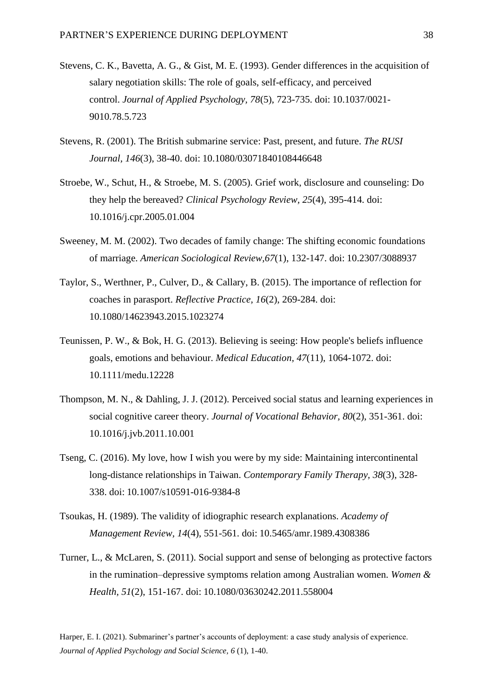- Stevens, C. K., Bavetta, A. G., & Gist, M. E. (1993). Gender differences in the acquisition of salary negotiation skills: The role of goals, self-efficacy, and perceived control. *Journal of Applied Psychology, 78*(5), 723-735. doi: 10.1037/0021- 9010.78.5.723
- Stevens, R. (2001). The British submarine service: Past, present, and future. *The RUSI Journal, 146*(3), 38-40. doi: 10.1080/03071840108446648
- Stroebe, W., Schut, H., & Stroebe, M. S. (2005). Grief work, disclosure and counseling: Do they help the bereaved? *Clinical Psychology Review, 25*(4), 395-414. doi: 10.1016/j.cpr.2005.01.004
- Sweeney, M. M. (2002). Two decades of family change: The shifting economic foundations of marriage. *American Sociological Review,67*(1), 132-147. doi: 10.2307/3088937
- Taylor, S., Werthner, P., Culver, D., & Callary, B. (2015). The importance of reflection for coaches in parasport. *Reflective Practice, 16*(2), 269-284. doi: 10.1080/14623943.2015.1023274
- Teunissen, P. W., & Bok, H. G. (2013). Believing is seeing: How people's beliefs influence goals, emotions and behaviour. *Medical Education, 47*(11), 1064-1072. doi: 10.1111/medu.12228
- Thompson, M. N., & Dahling, J. J. (2012). Perceived social status and learning experiences in social cognitive career theory. *Journal of Vocational Behavior, 80*(2), 351-361. doi: 10.1016/j.jvb.2011.10.001
- Tseng, C. (2016). My love, how I wish you were by my side: Maintaining intercontinental long-distance relationships in Taiwan. *Contemporary Family Therapy, 38*(3), 328- 338. doi: 10.1007/s10591-016-9384-8
- Tsoukas, H. (1989). The validity of idiographic research explanations. *Academy of Management Review, 14*(4), 551-561. doi: 10.5465/amr.1989.4308386
- Turner, L., & McLaren, S. (2011). Social support and sense of belonging as protective factors in the rumination–depressive symptoms relation among Australian women. *Women & Health, 51*(2), 151-167. doi: 10.1080/03630242.2011.558004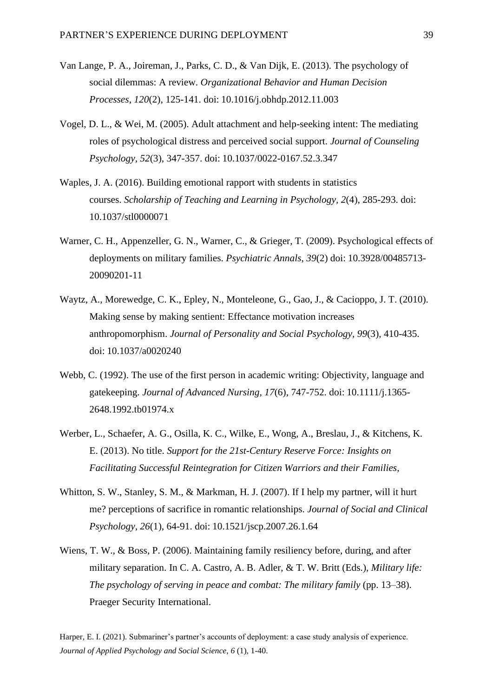- Van Lange, P. A., Joireman, J., Parks, C. D., & Van Dijk, E. (2013). The psychology of social dilemmas: A review. *Organizational Behavior and Human Decision Processes, 120*(2), 125-141. doi: 10.1016/j.obhdp.2012.11.003
- Vogel, D. L., & Wei, M. (2005). Adult attachment and help-seeking intent: The mediating roles of psychological distress and perceived social support. *Journal of Counseling Psychology, 52*(3), 347-357. doi: 10.1037/0022-0167.52.3.347
- Waples, J. A. (2016). Building emotional rapport with students in statistics courses. *Scholarship of Teaching and Learning in Psychology, 2*(4), 285-293. doi: 10.1037/stl0000071
- Warner, C. H., Appenzeller, G. N., Warner, C., & Grieger, T. (2009). Psychological effects of deployments on military families. *Psychiatric Annals, 39*(2) doi: 10.3928/00485713- 20090201-11
- Waytz, A., Morewedge, C. K., Epley, N., Monteleone, G., Gao, J., & Cacioppo, J. T. (2010). Making sense by making sentient: Effectance motivation increases anthropomorphism. *Journal of Personality and Social Psychology, 99*(3), 410-435. doi: 10.1037/a0020240
- Webb, C. (1992). The use of the first person in academic writing: Objectivity, language and gatekeeping. *Journal of Advanced Nursing, 17*(6), 747-752. doi: 10.1111/j.1365- 2648.1992.tb01974.x
- Werber, L., Schaefer, A. G., Osilla, K. C., Wilke, E., Wong, A., Breslau, J., & Kitchens, K. E. (2013). No title. *Support for the 21st-Century Reserve Force: Insights on Facilitating Successful Reintegration for Citizen Warriors and their Families,*
- Whitton, S. W., Stanley, S. M., & Markman, H. J. (2007). If I help my partner, will it hurt me? perceptions of sacrifice in romantic relationships. *Journal of Social and Clinical Psychology, 26*(1), 64-91. doi: 10.1521/jscp.2007.26.1.64
- Wiens, T. W., & Boss, P. (2006). Maintaining family resiliency before, during, and after military separation. In C. A. Castro, A. B. Adler, & T. W. Britt (Eds.), *Military life: The psychology of serving in peace and combat: The military family (pp. 13–38).* Praeger Security International.